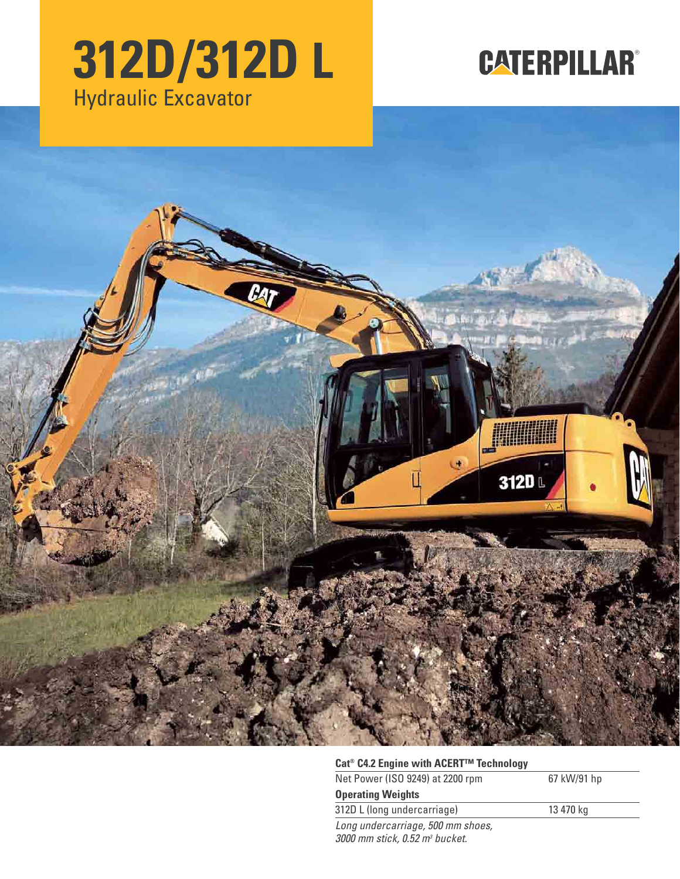# **312D/312D L** Hydraulic Excavator

# **CATERPILLAR®**



## **Cat® C4.2 Engine with ACERT™ Technology**

| Net Power (ISO 9249) at 2200 rpm | 67 kW/91 hp |
|----------------------------------|-------------|
| <b>Operating Weights</b>         |             |
| 312D L (long undercarriage)      | 13 470 kg   |
| Long undercarriage 500 mm shoes  |             |

Long undercarriage, 500 mm shoes, 3000 mm stick, 0.52 m<sup>3</sup> bucket.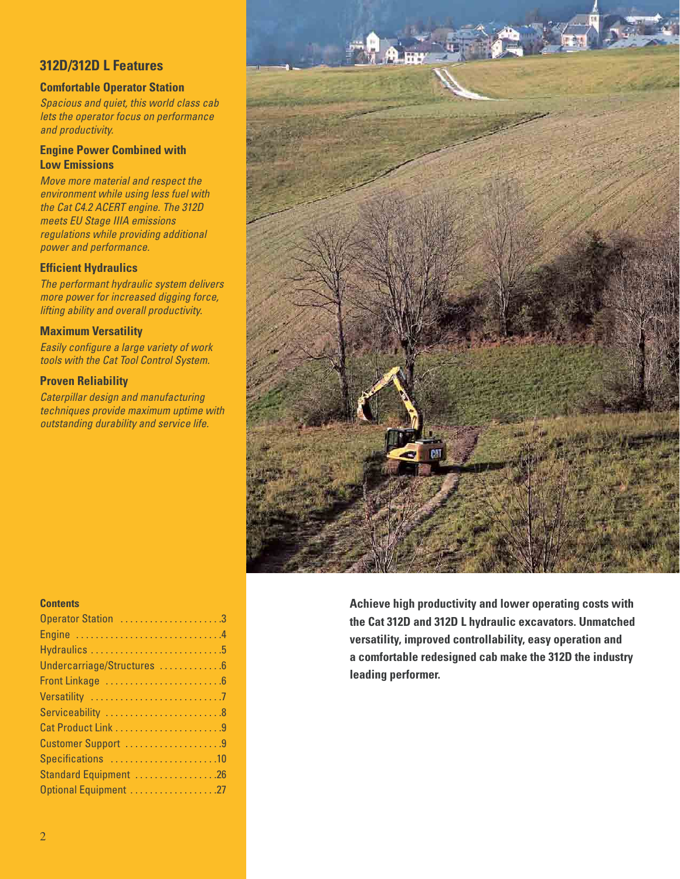## **312D/312D L Features**

## **Comfortable Operator Station**

Spacious and quiet, this world class cab lets the operator focus on performance and productivity.

### **Engine Power Combined with Low Emissions**

Move more material and respect the environment while using less fuel with the Cat C4.2 ACERT engine. The 312D meets EU Stage IIIA emissions regulations while providing additional power and performance.

## **Efficient Hydraulics**

The performant hydraulic system delivers more power for increased digging force, lifting ability and overall productivity.

### **Maximum Versatility**

Easily configure a large variety of work tools with the Cat Tool Control System.

## **Proven Reliability**

Caterpillar design and manufacturing techniques provide maximum uptime with outstanding durability and service life.



## Operator Station .......................3 Engine . . . . . . . . . . . . . . .

**Contents**

| Undercarriage/Structures 6 |
|----------------------------|
|                            |
|                            |
| Serviceability 8           |
|                            |
| Customer Support 9         |
| Specifications 10          |
| Standard Equipment 26      |
| Optional Equipment 27      |

**Achieve high productivity and lower operating costs with the Cat 312D and 312D L hydraulic excavators. Unmatched versatility, improved controllability, easy operation and a comfortable redesigned cab make the 312D the industry leading performer.**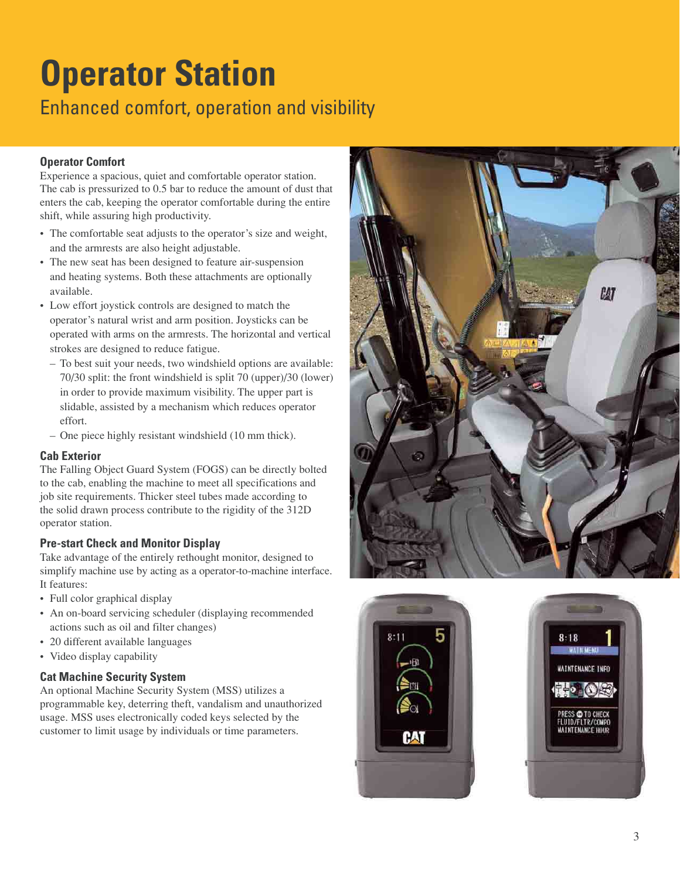# **Operator Station** Enhanced comfort, operation and visibility

## **Operator Comfort**

Experience a spacious, quiet and comfortable operator station. The cab is pressurized to 0.5 bar to reduce the amount of dust that enters the cab, keeping the operator comfortable during the entire shift, while assuring high productivity.

- The comfortable seat adjusts to the operator's size and weight, and the armrests are also height adjustable.
- The new seat has been designed to feature air-suspension and heating systems. Both these attachments are optionally available.
- Low effort joystick controls are designed to match the operator's natural wrist and arm position. Joysticks can be operated with arms on the armrests. The horizontal and vertical strokes are designed to reduce fatigue.
	- To best suit your needs, two windshield options are available: 70/30 split: the front windshield is split 70 (upper)/30 (lower) in order to provide maximum visibility. The upper part is slidable, assisted by a mechanism which reduces operator effort.
	- One piece highly resistant windshield (10 mm thick).

## **Cab Exterior**

The Falling Object Guard System (FOGS) can be directly bolted to the cab, enabling the machine to meet all specifications and job site requirements. Thicker steel tubes made according to the solid drawn process contribute to the rigidity of the 312D operator station.

## **Pre-start Check and Monitor Display**

Take advantage of the entirely rethought monitor, designed to simplify machine use by acting as a operator-to-machine interface. It features:

- Full color graphical display
- An on-board servicing scheduler (displaying recommended actions such as oil and filter changes)
- 20 different available languages
- Video display capability

## **Cat Machine Security System**

An optional Machine Security System (MSS) utilizes a programmable key, deterring theft, vandalism and unauthorized usage. MSS uses electronically coded keys selected by the customer to limit usage by individuals or time parameters.





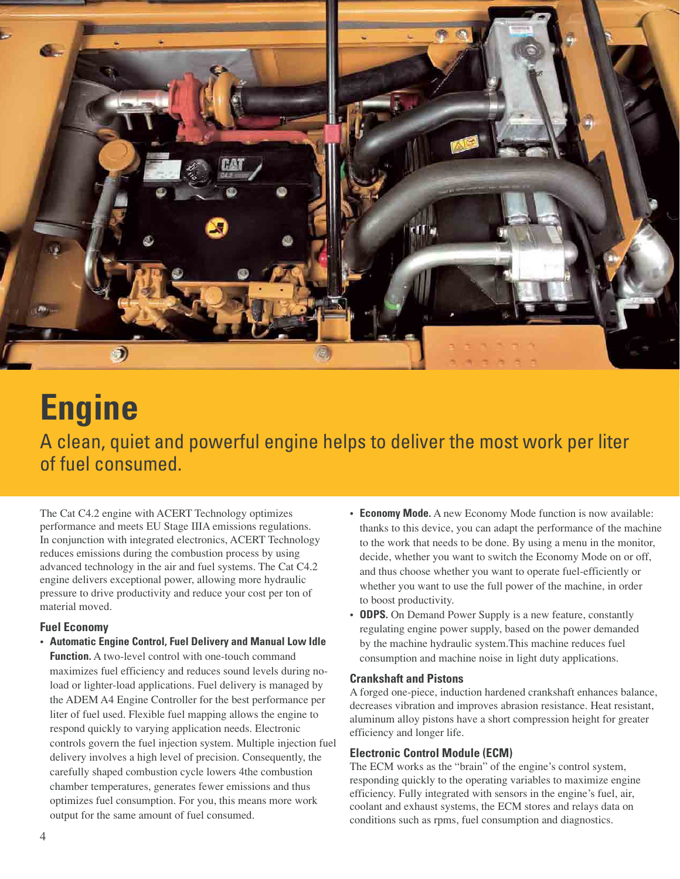

# **Engine**

A clean, quiet and powerful engine helps to deliver the most work per liter of fuel consumed.

The Cat C4.2 engine with ACERT Technology optimizes performance and meets EU Stage IIIA emissions regulations. In conjunction with integrated electronics, ACERT Technology reduces emissions during the combustion process by using advanced technology in the air and fuel systems. The Cat C4.2 engine delivers exceptional power, allowing more hydraulic pressure to drive productivity and reduce your cost per ton of material moved.

## **Fuel Economy**

- **Automatic Engine Control, Fuel Delivery and Manual Low Idle Function.** A two-level control with one-touch command maximizes fuel efficiency and reduces sound levels during noload or lighter-load applications. Fuel delivery is managed by the ADEM A4 Engine Controller for the best performance per liter of fuel used. Flexible fuel mapping allows the engine to respond quickly to varying application needs. Electronic controls govern the fuel injection system. Multiple injection fuel delivery involves a high level of precision. Consequently, the carefully shaped combustion cycle lowers 4the combustion chamber temperatures, generates fewer emissions and thus optimizes fuel consumption. For you, this means more work output for the same amount of fuel consumed.
- **Economy Mode.** A new Economy Mode function is now available: thanks to this device, you can adapt the performance of the machine to the work that needs to be done. By using a menu in the monitor, decide, whether you want to switch the Economy Mode on or off, and thus choose whether you want to operate fuel-efficiently or whether you want to use the full power of the machine, in order to boost productivity.
- **ODPS.** On Demand Power Supply is a new feature, constantly regulating engine power supply, based on the power demanded by the machine hydraulic system.This machine reduces fuel consumption and machine noise in light duty applications.

### **Crankshaft and Pistons**

A forged one-piece, induction hardened crankshaft enhances balance, decreases vibration and improves abrasion resistance. Heat resistant, aluminum alloy pistons have a short compression height for greater efficiency and longer life.

## **Electronic Control Module (ECM)**

The ECM works as the "brain" of the engine's control system, responding quickly to the operating variables to maximize engine efficiency. Fully integrated with sensors in the engine's fuel, air, coolant and exhaust systems, the ECM stores and relays data on conditions such as rpms, fuel consumption and diagnostics.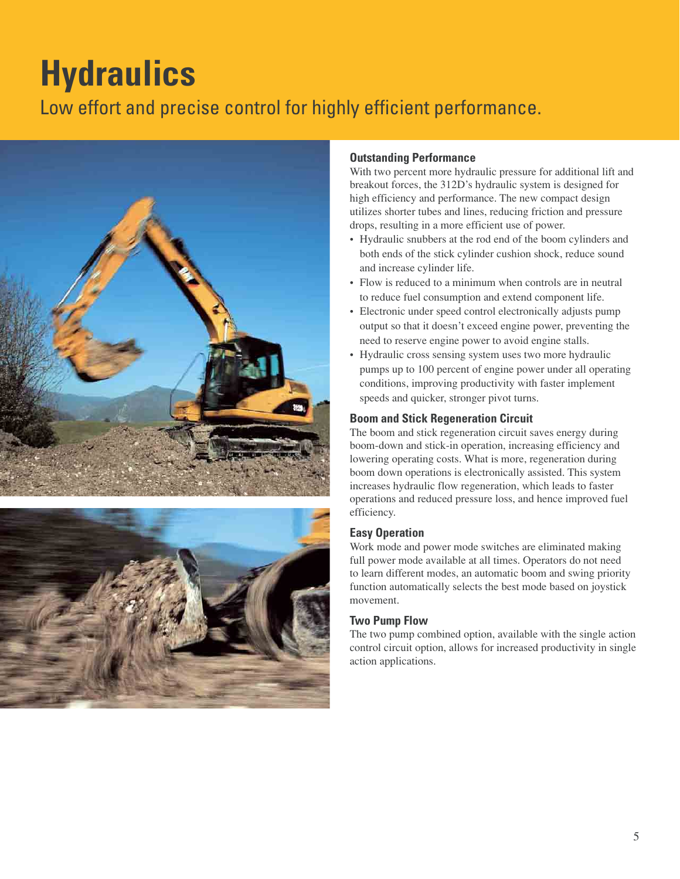# **Hydraulics**

## Low effort and precise control for highly efficient performance.





### **Outstanding Performance**

With two percent more hydraulic pressure for additional lift and breakout forces, the 312D's hydraulic system is designed for high efficiency and performance. The new compact design utilizes shorter tubes and lines, reducing friction and pressure drops, resulting in a more efficient use of power.

- Hydraulic snubbers at the rod end of the boom cylinders and both ends of the stick cylinder cushion shock, reduce sound and increase cylinder life.
- Flow is reduced to a minimum when controls are in neutral to reduce fuel consumption and extend component life.
- Electronic under speed control electronically adjusts pump output so that it doesn't exceed engine power, preventing the need to reserve engine power to avoid engine stalls.
- Hydraulic cross sensing system uses two more hydraulic pumps up to 100 percent of engine power under all operating conditions, improving productivity with faster implement speeds and quicker, stronger pivot turns.

### **Boom and Stick Regeneration Circuit**

The boom and stick regeneration circuit saves energy during boom-down and stick-in operation, increasing efficiency and lowering operating costs. What is more, regeneration during boom down operations is electronically assisted. This system increases hydraulic flow regeneration, which leads to faster operations and reduced pressure loss, and hence improved fuel efficiency.

### **Easy Operation**

Work mode and power mode switches are eliminated making full power mode available at all times. Operators do not need to learn different modes, an automatic boom and swing priority function automatically selects the best mode based on joystick movement.

## **Two Pump Flow**

The two pump combined option, available with the single action control circuit option, allows for increased productivity in single action applications.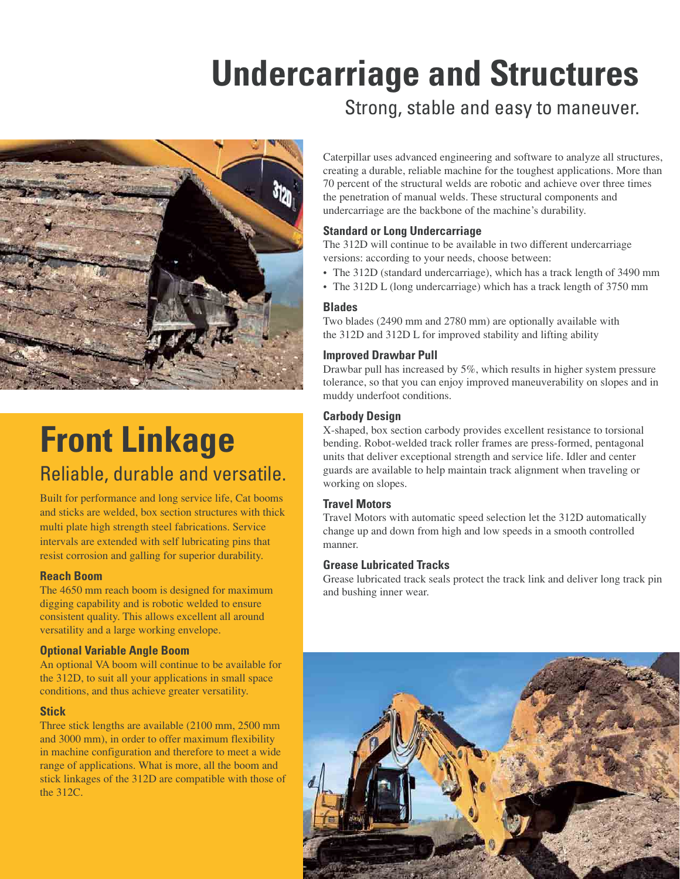# **Undercarriage and Structures**



## **Front Linkage** Reliable, durable and versatile.

Built for performance and long service life, Cat booms and sticks are welded, box section structures with thick multi plate high strength steel fabrications. Service intervals are extended with self lubricating pins that resist corrosion and galling for superior durability.

## **Reach Boom**

The 4650 mm reach boom is designed for maximum digging capability and is robotic welded to ensure consistent quality. This allows excellent all around versatility and a large working envelope.

## **Optional Variable Angle Boom**

An optional VA boom will continue to be available for the 312D, to suit all your applications in small space conditions, and thus achieve greater versatility.

## **Stick**

Three stick lengths are available (2100 mm, 2500 mm and 3000 mm), in order to offer maximum flexibility in machine configuration and therefore to meet a wide range of applications. What is more, all the boom and stick linkages of the 312D are compatible with those of the 312C.

Strong, stable and easy to maneuver.

Caterpillar uses advanced engineering and software to analyze all structures, creating a durable, reliable machine for the toughest applications. More than 70 percent of the structural welds are robotic and achieve over three times the penetration of manual welds. These structural components and undercarriage are the backbone of the machine's durability.

## **Standard or Long Undercarriage**

The 312D will continue to be available in two different undercarriage versions: according to your needs, choose between:

- The 312D (standard undercarriage), which has a track length of 3490 mm
- The 312D L (long undercarriage) which has a track length of 3750 mm

### **Blades**

Two blades (2490 mm and 2780 mm) are optionally available with the 312D and 312D L for improved stability and lifting ability

## **Improved Drawbar Pull**

Drawbar pull has increased by 5%, which results in higher system pressure tolerance, so that you can enjoy improved maneuverability on slopes and in muddy underfoot conditions.

## **Carbody Design**

X-shaped, box section carbody provides excellent resistance to torsional bending. Robot-welded track roller frames are press-formed, pentagonal units that deliver exceptional strength and service life. Idler and center guards are available to help maintain track alignment when traveling or working on slopes.

## **Travel Motors**

Travel Motors with automatic speed selection let the 312D automatically change up and down from high and low speeds in a smooth controlled manner.

## **Grease Lubricated Tracks**

Grease lubricated track seals protect the track link and deliver long track pin and bushing inner wear.

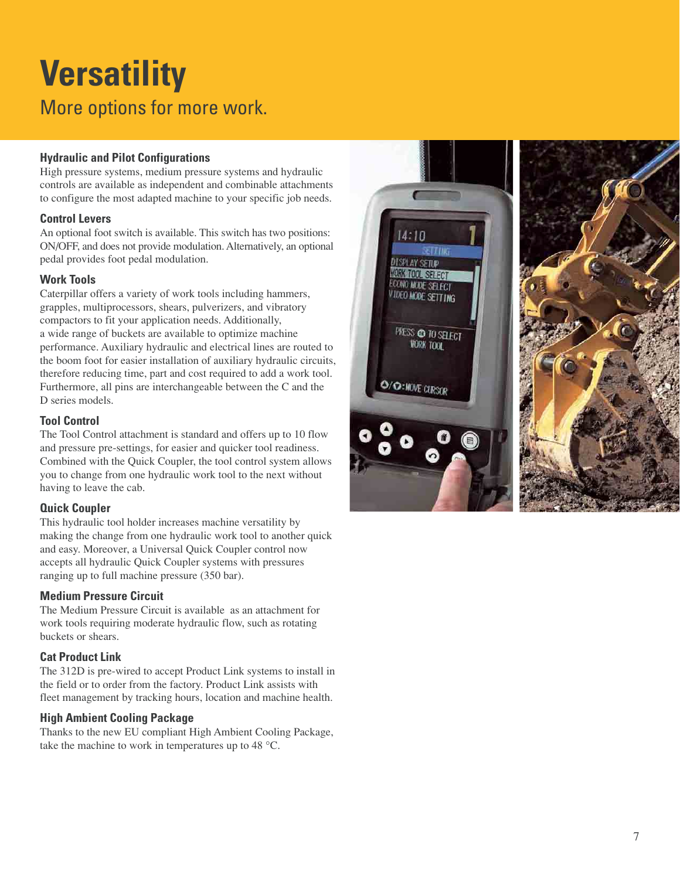# **Versatility** More options for more work.

## **Hydraulic and Pilot Configurations**

High pressure systems, medium pressure systems and hydraulic controls are available as independent and combinable attachments to configure the most adapted machine to your specific job needs.

## **Control Levers**

An optional foot switch is available. This switch has two positions: ON/OFF, and does not provide modulation. Alternatively, an optional pedal provides foot pedal modulation.

## **Work Tools**

Caterpillar offers a variety of work tools including hammers, grapples, multiprocessors, shears, pulverizers, and vibratory compactors to fit your application needs. Additionally, a wide range of buckets are available to optimize machine performance. Auxiliary hydraulic and electrical lines are routed to the boom foot for easier installation of auxiliary hydraulic circuits, therefore reducing time, part and cost required to add a work tool. Furthermore, all pins are interchangeable between the C and the D series models

## **Tool Control**

The Tool Control attachment is standard and offers up to 10 flow and pressure pre-settings, for easier and quicker tool readiness. Combined with the Quick Coupler, the tool control system allows you to change from one hydraulic work tool to the next without having to leave the cab.

## **Quick Coupler**

This hydraulic tool holder increases machine versatility by making the change from one hydraulic work tool to another quick and easy. Moreover, a Universal Quick Coupler control now accepts all hydraulic Quick Coupler systems with pressures ranging up to full machine pressure (350 bar).

## **Medium Pressure Circuit**

The Medium Pressure Circuit is available as an attachment for work tools requiring moderate hydraulic flow, such as rotating buckets or shears.

## **Cat Product Link**

The 312D is pre-wired to accept Product Link systems to install in the field or to order from the factory. Product Link assists with fleet management by tracking hours, location and machine health.

## **High Ambient Cooling Package**

Thanks to the new EU compliant High Ambient Cooling Package, take the machine to work in temperatures up to 48 °C.

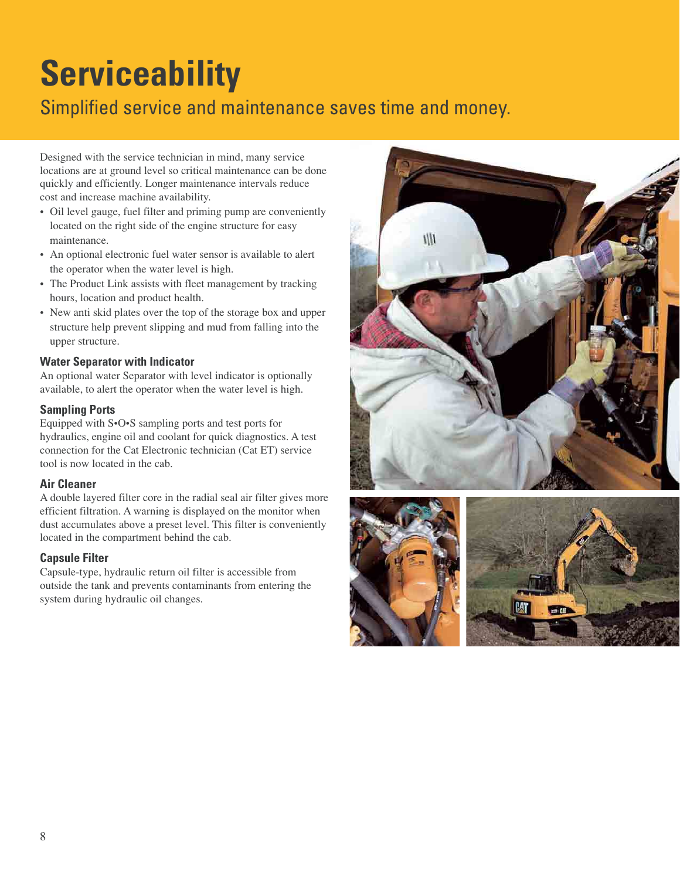# **Serviceability**

## Simplified service and maintenance saves time and money.

Designed with the service technician in mind, many service locations are at ground level so critical maintenance can be done quickly and efficiently. Longer maintenance intervals reduce cost and increase machine availability.

- Oil level gauge, fuel filter and priming pump are conveniently located on the right side of the engine structure for easy maintenance.
- An optional electronic fuel water sensor is available to alert the operator when the water level is high.
- The Product Link assists with fleet management by tracking hours, location and product health.
- New anti skid plates over the top of the storage box and upper structure help prevent slipping and mud from falling into the upper structure.

## **Water Separator with Indicator**

An optional water Separator with level indicator is optionally available, to alert the operator when the water level is high.

## **Sampling Ports**

Equipped with S•O•S sampling ports and test ports for hydraulics, engine oil and coolant for quick diagnostics. A test connection for the Cat Electronic technician (Cat ET) service tool is now located in the cab.

## **Air Cleaner**

A double layered filter core in the radial seal air filter gives more efficient filtration. A warning is displayed on the monitor when dust accumulates above a preset level. This filter is conveniently located in the compartment behind the cab.

## **Capsule Filter**

Capsule-type, hydraulic return oil filter is accessible from outside the tank and prevents contaminants from entering the system during hydraulic oil changes.



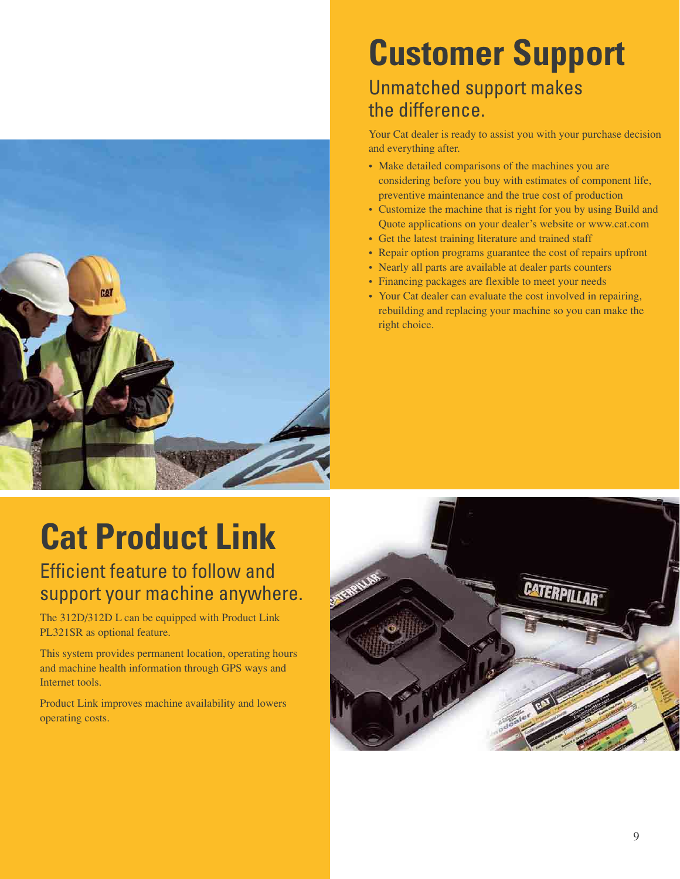

# **Customer Support**

## Unmatched support makes the difference.

Your Cat dealer is ready to assist you with your purchase decision and everything after.

- Make detailed comparisons of the machines you are considering before you buy with estimates of component life, preventive maintenance and the true cost of production
- Customize the machine that is right for you by using Build and Quote applications on your dealer's website or www.cat.com
- Get the latest training literature and trained staff
- Repair option programs guarantee the cost of repairs upfront
- Nearly all parts are available at dealer parts counters
- Financing packages are flexible to meet your needs
- Your Cat dealer can evaluate the cost involved in repairing, rebuilding and replacing your machine so you can make the right choice.

# **Cat Product Link**

## Efficient feature to follow and support your machine anywhere.

The 312D/312D L can be equipped with Product Link PL321SR as optional feature.

This system provides permanent location, operating hours and machine health information through GPS ways and Internet tools.

Product Link improves machine availability and lowers operating costs.

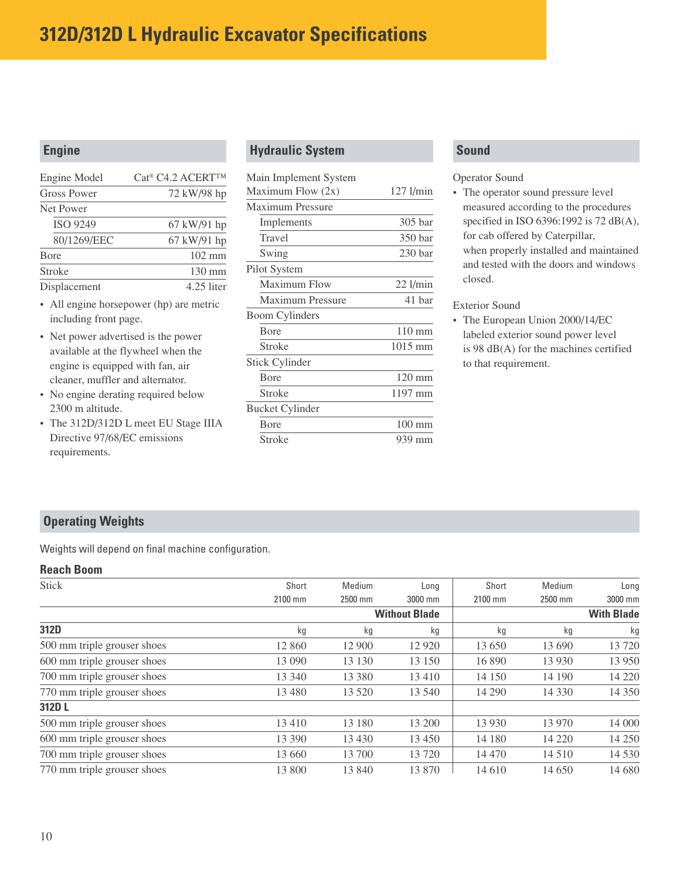## **312D/312D L Hydraulic Excavator Specifications**

## **Engine**

| Engine Model       | Cat <sup>®</sup> C4.2 ACERT <sup>TM</sup> |
|--------------------|-------------------------------------------|
| <b>Gross Power</b> | 72 kW/98 hp                               |
| Net Power          |                                           |
| <b>ISO 9249</b>    | 67 kW/91 hp                               |
| 80/1269/EEC        | 67 kW/91 hp                               |
| <b>B</b> ore       | $102 \text{ mm}$                          |
| Stroke             | $130 \text{ mm}$                          |
| Displacement       | 4.25 liter                                |

- All engine horsepower (hp) are metric including front page.
- Net power advertised is the power available at the flywheel when the engine is equipped with fan, air cleaner, muffler and alternator.
- No engine derating required below 2300 m altitude.
- The 312D/312D L meet EU Stage IIIA Directive 97/68/EC emissions requirements.

## **Hydraulic System**

| Main Implement System   |                    |
|-------------------------|--------------------|
| Maximum Flow (2x)       | 127 l/min          |
| Maximum Pressure        |                    |
| Implements              | 305 bar            |
| Travel                  | 350 bar            |
| Swing                   | 230 <sub>bar</sub> |
| Pilot System            |                    |
| Maximum Flow            | $22$ l/min         |
| <b>Maximum Pressure</b> | 41 bar             |
| <b>Boom Cylinders</b>   |                    |
| Bore                    | $110 \text{ mm}$   |
| <b>Stroke</b>           | 1015 mm            |
| <b>Stick Cylinder</b>   |                    |
| <b>B</b> ore            | $120 \text{ mm}$   |
| Stroke                  | 1197 mm            |
| <b>Bucket Cylinder</b>  |                    |
| Bore                    | $100 \text{ mm}$   |
| Stroke                  | 939 mm             |

## **Sound**

### Operator Sound

• The operator sound pressure level measured according to the procedures specified in ISO 6396:1992 is 72 dB(A), for cab offered by Caterpillar, when properly installed and maintained and tested with the doors and windows closed.

### Exterior Sound

• The European Union 2000/14/EC labeled exterior sound power level is 98 dB(A) for the machines certified to that requirement.

## **Operating Weights**

Weights will depend on final machine configuration.

## **Reach Boom**

| <b>Stick</b>                | Short   | Medium  | Long                 | Short   | Medium   | Long              |
|-----------------------------|---------|---------|----------------------|---------|----------|-------------------|
|                             | 2100 mm | 2500 mm | 3000 mm              | 2100 mm | 2500 mm  | 3000 mm           |
|                             |         |         | <b>Without Blade</b> |         |          | <b>With Blade</b> |
| 312D                        | kg      | kg      | kg                   | kg      | kg       | kg                |
| 500 mm triple grouser shoes | 12 860  | 12 900  | 12 9 20              | 13 650  | 13 690   | 13720             |
| 600 mm triple grouser shoes | 13 090  | 13 130  | 13 150               | 16 890  | 13 9 30  | 13 9 50           |
| 700 mm triple grouser shoes | 13 340  | 13 380  | 13 4 10              | 14 150  | 14 190   | 14 2 20           |
| 770 mm triple grouser shoes | 13 480  | 13 5 20 | 13 540               | 14 290  | 14 3 3 0 | 14 3 5 0          |
| 312D L                      |         |         |                      |         |          |                   |
| 500 mm triple grouser shoes | 13410   | 13 180  | 13 200               | 13 9 30 | 13 970   | 14 000            |
| 600 mm triple grouser shoes | 13 390  | 13 4 30 | 13 450               | 14 180  | 14 2 20  | 14 250            |
| 700 mm triple grouser shoes | 13 660  | 13 700  | 13 720               | 14 470  | 14 5 10  | 14 530            |
| 770 mm triple grouser shoes | 13 800  | 13 840  | 13 870               | 14 610  | 14 650   | 14 680            |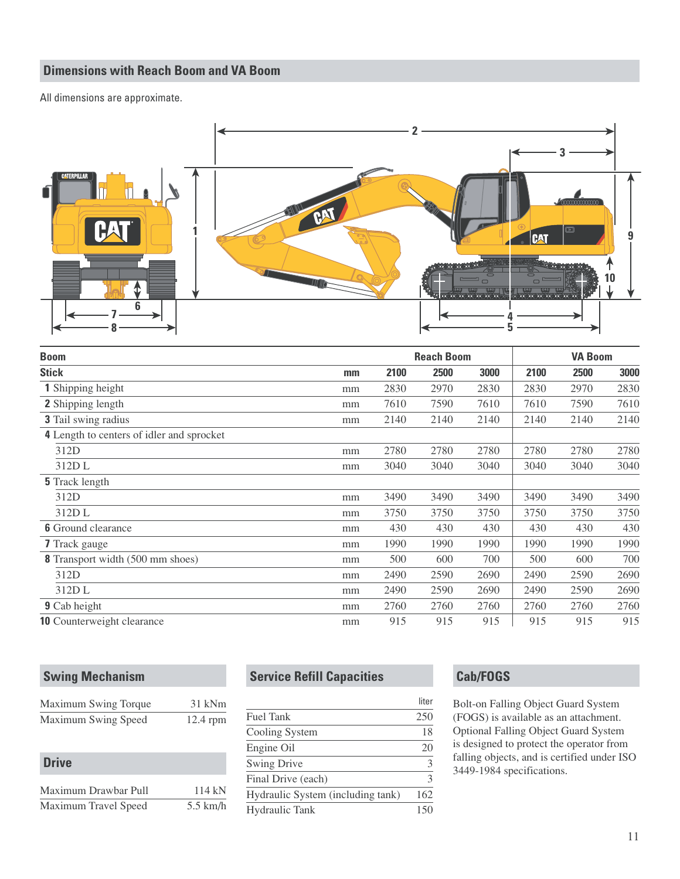## **Dimensions with Reach Boom and VA Boom**

All dimensions are approximate.



| <b>Boom</b>                                      |      |      | <b>Reach Boom</b> |      |      | <b>VA Boom</b> |      |  |
|--------------------------------------------------|------|------|-------------------|------|------|----------------|------|--|
| <b>Stick</b>                                     | $mm$ | 2100 | 2500              | 3000 | 2100 | 2500           | 3000 |  |
| <b>1</b> Shipping height                         | mm   | 2830 | 2970              | 2830 | 2830 | 2970           | 2830 |  |
| 2 Shipping length                                | mm   | 7610 | 7590              | 7610 | 7610 | 7590           | 7610 |  |
| 3 Tail swing radius                              | mm   | 2140 | 2140              | 2140 | 2140 | 2140           | 2140 |  |
| <b>4</b> Length to centers of idler and sprocket |      |      |                   |      |      |                |      |  |
| 312D                                             | mm   | 2780 | 2780              | 2780 | 2780 | 2780           | 2780 |  |
| 312DL                                            | mm   | 3040 | 3040              | 3040 | 3040 | 3040           | 3040 |  |
| <b>5</b> Track length                            |      |      |                   |      |      |                |      |  |
| 312D                                             | mm   | 3490 | 3490              | 3490 | 3490 | 3490           | 3490 |  |
| 312D L                                           | mm   | 3750 | 3750              | 3750 | 3750 | 3750           | 3750 |  |
| <b>6</b> Ground clearance                        | mm   | 430  | 430               | 430  | 430  | 430            | 430  |  |
| <b>7</b> Track gauge                             | mm   | 1990 | 1990              | 1990 | 1990 | 1990           | 1990 |  |
| <b>8</b> Transport width (500 mm shoes)          | mm   | 500  | 600               | 700  | 500  | 600            | 700  |  |
| 312D                                             | mm   | 2490 | 2590              | 2690 | 2490 | 2590           | 2690 |  |
| 312DL                                            | mm   | 2490 | 2590              | 2690 | 2490 | 2590           | 2690 |  |
| <b>9</b> Cab height                              | mm   | 2760 | 2760              | 2760 | 2760 | 2760           | 2760 |  |
| <b>10</b> Counterweight clearance                | mm   | 915  | 915               | 915  | 915  | 915            | 915  |  |

## **Swing Mechanism**

| Maximum Swing Torque | 31 kNm     |
|----------------------|------------|
| Maximum Swing Speed  | $12.4$ rpm |

| <b>Drive</b>         |            |
|----------------------|------------|
| Maximum Drawbar Pull | 114kN      |
| Maximum Travel Speed | $5.5$ km/h |

## **Service Refill Capacities**

|                                   | liter |
|-----------------------------------|-------|
| <b>Fuel Tank</b>                  | 250   |
| Cooling System                    | 18    |
| Engine Oil                        | 20    |
| <b>Swing Drive</b>                | 3     |
| Final Drive (each)                | 3     |
| Hydraulic System (including tank) | 162   |
| <b>Hydraulic Tank</b>             | 150   |

## **Cab/FOGS**

Bolt-on Falling Object Guard System (FOGS) is available as an attachment. Optional Falling Object Guard System is designed to protect the operator from falling objects, and is certified under ISO 3449-1984 specifications.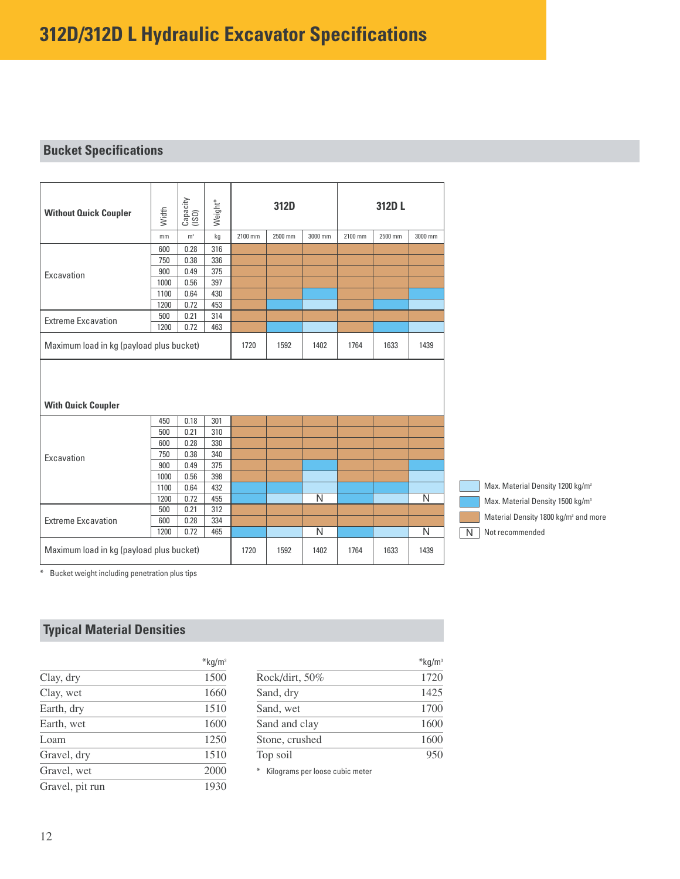## **Bucket Specifications**

| <b>Without Quick Coupler</b>             | Width       | Capacity<br>(ISO) | Weight*    |         | 312D    |                |         | 312D L  |                |   |                 |                                                  |  |
|------------------------------------------|-------------|-------------------|------------|---------|---------|----------------|---------|---------|----------------|---|-----------------|--------------------------------------------------|--|
|                                          | mm          | m <sup>3</sup>    | kg         | 2100 mm | 2500 mm | 3000 mm        | 2100 mm | 2500 mm | 3000 mm        |   |                 |                                                  |  |
|                                          | 600         | 0.28              | 316        |         |         |                |         |         |                |   |                 |                                                  |  |
|                                          | 750         | 0.38              | 336        |         |         |                |         |         |                |   |                 |                                                  |  |
| Excavation                               | 900         | 0.49              | 375        |         |         |                |         |         |                |   |                 |                                                  |  |
|                                          | 1000        | 0.56              | 397        |         |         |                |         |         |                |   |                 |                                                  |  |
|                                          | 1100        | 0.64              | 430        |         |         |                |         |         |                |   |                 |                                                  |  |
|                                          | 1200        | 0.72              | 453        |         |         |                |         |         |                |   |                 |                                                  |  |
| <b>Extreme Excavation</b>                | 500         | 0.21              | 314        |         |         |                |         |         |                |   |                 |                                                  |  |
|                                          | 1200        | 0.72              | 463        |         |         |                |         |         |                |   |                 |                                                  |  |
| Maximum load in kg (payload plus bucket) |             |                   |            | 1720    | 1592    | 1402           | 1764    | 1633    | 1439           |   |                 |                                                  |  |
|                                          |             |                   |            |         |         |                |         |         |                |   |                 |                                                  |  |
| <b>With Quick Coupler</b>                |             |                   |            |         |         |                |         |         |                |   |                 |                                                  |  |
|                                          | 450         | 0.18              | 301        |         |         |                |         |         |                |   |                 |                                                  |  |
|                                          | 500         | 0.21              | 310        |         |         |                |         |         |                |   |                 |                                                  |  |
|                                          | 600         | 0.28              | 330        |         |         |                |         |         |                |   |                 |                                                  |  |
|                                          | 750         | 0.38              | 340        |         |         |                |         |         |                |   |                 |                                                  |  |
|                                          | 900         | 0.49              | 375        |         |         |                |         |         |                |   |                 |                                                  |  |
| Excavation                               | 1000        | 0.56              | 398        |         |         |                |         |         |                |   |                 | Max. Material Density 1200 kg/m <sup>3</sup>     |  |
|                                          | 1100        | 0.64              | 432        |         |         |                |         |         |                |   |                 |                                                  |  |
|                                          | 1200<br>500 | 0.72<br>0.21      | 455<br>312 |         |         | $\overline{N}$ |         |         | $\overline{N}$ |   |                 | Max. Material Density 1500 kg/m <sup>3</sup>     |  |
|                                          | 600         | 0.28              | 334        |         |         |                |         |         |                |   |                 | Material Density 1800 kg/m <sup>3</sup> and more |  |
| <b>Extreme Excavation</b>                | 1200        | 0.72              | 465        |         |         | $\overline{N}$ |         |         | N              | N | Not recommended |                                                  |  |

\* Bucket weight including penetration plus tips

## **Typical Material Densities**

|                 | $*$ kg/m <sup>3</sup> |
|-----------------|-----------------------|
| Clay, dry       | 1500                  |
| Clay, wet       | 1660                  |
| Earth, dry      | 1510                  |
| Earth, wet      | 1600                  |
| Loam            | 1250                  |
| Gravel, dry     | 1510                  |
| Gravel, wet     | 2000                  |
| Gravel, pit run | 1930                  |

| $*$ kg/m <sup>3</sup> |
|-----------------------|
| 1720                  |
| 1425                  |
| 1700                  |
| 1600                  |
| 1600                  |
| 950                   |
|                       |

\* Kilograms per loose cubic meter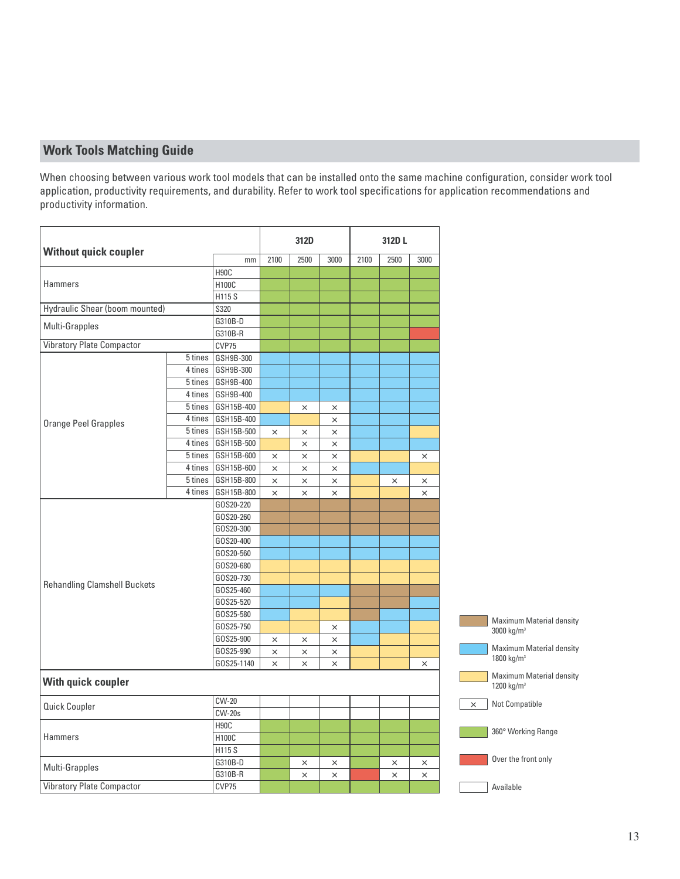## **Work Tools Matching Guide**

When choosing between various work tool models that can be installed onto the same machine configuration, consider work tool application, productivity requirements, and durability. Refer to work tool specifications for application recommendations and productivity information.

|                                       |         |                      |          | 312D     |          |      | 312D L   |          |          |                                                           |
|---------------------------------------|---------|----------------------|----------|----------|----------|------|----------|----------|----------|-----------------------------------------------------------|
| <b>Without quick coupler</b>          |         | mm                   | 2100     | 2500     | 3000     | 2100 | 2500     | 3000     |          |                                                           |
|                                       |         | H <sub>90</sub> C    |          |          |          |      |          |          |          |                                                           |
| <b>Hammers</b>                        |         | H100C                |          |          |          |      |          |          |          |                                                           |
|                                       |         | H115 S               |          |          |          |      |          |          |          |                                                           |
| <b>Hydraulic Shear (boom mounted)</b> |         | S320                 |          |          |          |      |          |          |          |                                                           |
| Multi-Grapples                        |         | G310B-D<br>G310B-R   |          |          |          |      |          |          |          |                                                           |
| <b>Vibratory Plate Compactor</b>      |         | CVP75                |          |          |          |      |          |          |          |                                                           |
|                                       | 5 tines | GSH9B-300            |          |          |          |      |          |          |          |                                                           |
|                                       | 4 tines | GSH9B-300            |          |          |          |      |          |          |          |                                                           |
|                                       |         | 5 tines   GSH9B-400  |          |          |          |      |          |          |          |                                                           |
|                                       |         | 4 tines   GSH9B-400  |          |          |          |      |          |          |          |                                                           |
|                                       | 5 tines | GSH15B-400           |          | $\times$ | $\times$ |      |          |          |          |                                                           |
|                                       |         | 4 tines   GSH15B-400 |          |          | $\times$ |      |          |          |          |                                                           |
| <b>Orange Peel Grapples</b>           |         | 5 tines   GSH15B-500 | $\times$ | $\times$ | $\times$ |      |          |          |          |                                                           |
|                                       |         | 4 tines   GSH15B-500 |          | $\times$ | $\times$ |      |          |          |          |                                                           |
|                                       |         | 5 tines   GSH15B-600 | $\times$ | $\times$ | $\times$ |      |          | $\times$ |          |                                                           |
|                                       | 4 tines | GSH15B-600           | $\times$ | $\times$ | $\times$ |      |          |          |          |                                                           |
|                                       |         | 5 tines   GSH15B-800 | $\times$ | $\times$ | $\times$ |      | $\times$ | $\times$ |          |                                                           |
|                                       |         | 4 tines   GSH15B-800 | $\times$ | $\times$ | $\times$ |      |          | $\times$ |          |                                                           |
|                                       |         | GOS20-220            |          |          |          |      |          |          |          |                                                           |
|                                       |         | GOS20-260            |          |          |          |      |          |          |          |                                                           |
|                                       |         | GOS20-300            |          |          |          |      |          |          |          |                                                           |
|                                       |         | GOS20-400            |          |          |          |      |          |          |          |                                                           |
|                                       |         | GOS20-560            |          |          |          |      |          |          |          |                                                           |
|                                       |         | GOS20-680            |          |          |          |      |          |          |          |                                                           |
|                                       |         | GOS20-730            |          |          |          |      |          |          |          |                                                           |
| <b>Rehandling Clamshell Buckets</b>   |         | GOS25-460            |          |          |          |      |          |          |          |                                                           |
|                                       |         | GOS25-520            |          |          |          |      |          |          |          |                                                           |
|                                       |         | GOS25-580            |          |          |          |      |          |          |          |                                                           |
|                                       |         | GOS25-750            |          |          | $\times$ |      |          |          |          | <b>Maximum Material density</b><br>3000 kg/m <sup>3</sup> |
|                                       |         | GOS25-900            | $\times$ | $\times$ | $\times$ |      |          |          |          |                                                           |
|                                       |         | GOS25-990            | $\times$ | $\times$ | $\times$ |      |          |          |          | <b>Maximum Material density</b>                           |
|                                       |         | GOS25-1140           | $\times$ | $\times$ | $\times$ |      |          | $\times$ |          | 1800 kg/m <sup>3</sup>                                    |
| With quick coupler                    |         |                      |          |          |          |      |          |          |          | <b>Maximum Material density</b><br>1200 kg/m <sup>3</sup> |
|                                       |         | <b>CW-20</b>         |          |          |          |      |          |          | $\times$ | Not Compatible                                            |
| Quick Coupler                         |         | $CW-20s$             |          |          |          |      |          |          |          |                                                           |
|                                       |         | H <sub>90</sub> C    |          |          |          |      |          |          |          |                                                           |
| Hammers                               |         | H100C                |          |          |          |      |          |          |          | 360° Working Range                                        |
|                                       |         | H115 S               |          |          |          |      |          |          |          |                                                           |
|                                       |         | G310B-D              |          | $\times$ | $\times$ |      | $\times$ | $\times$ |          | Over the front only                                       |
| Multi-Grapples                        |         | G310B-R              |          | $\times$ | $\times$ |      | $\times$ | $\times$ |          |                                                           |
| <b>Vibratory Plate Compactor</b>      |         | CVP75                |          |          |          |      |          |          |          | Available                                                 |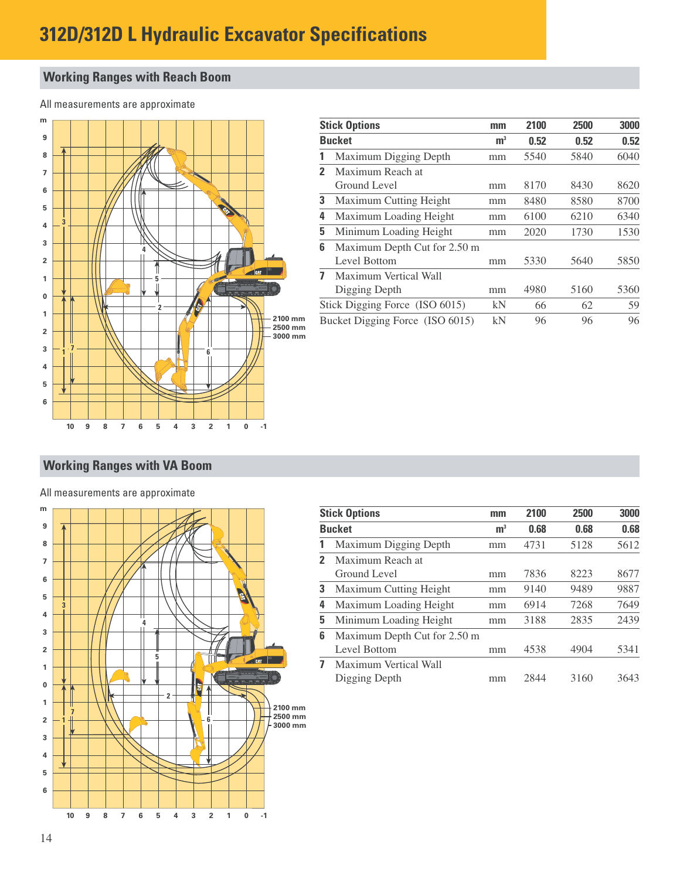## **312D/312D L Hydraulic Excavator Specifications**

## **Working Ranges with Reach Boom**

All measurements are approximate



|              | <b>Stick Options</b>            | mm             | 2100 | 2500 | 3000 |
|--------------|---------------------------------|----------------|------|------|------|
|              | <b>Bucket</b>                   | m <sup>3</sup> | 0.52 | 0.52 | 0.52 |
| 1            | Maximum Digging Depth           | mm             | 5540 | 5840 | 6040 |
| $\mathbf{2}$ | Maximum Reach at                |                |      |      |      |
|              | Ground Level                    | mm             | 8170 | 8430 | 8620 |
| 3            | Maximum Cutting Height          | mm             | 8480 | 8580 | 8700 |
| 4            | Maximum Loading Height          | mm             | 6100 | 6210 | 6340 |
| 5            | Minimum Loading Height          | mm             | 2020 | 1730 | 1530 |
| 6            | Maximum Depth Cut for 2.50 m    |                |      |      |      |
|              | Level Bottom                    | mm             | 5330 | 5640 | 5850 |
| 7            | Maximum Vertical Wall           |                |      |      |      |
|              | Digging Depth                   | mm             | 4980 | 5160 | 5360 |
|              | Stick Digging Force (ISO 6015)  | kN             | 66   | 62   | 59   |
|              | Bucket Digging Force (ISO 6015) | kN             | 96   | 96   | 96   |

## **Working Ranges with VA Boom**

#### All measurements are approximate



|              | <b>Stick Options</b>         | mm             | 2100 | 2500 | 3000 |
|--------------|------------------------------|----------------|------|------|------|
|              | <b>Bucket</b>                | m <sup>3</sup> | 0.68 | 0.68 | 0.68 |
| 1            | Maximum Digging Depth        | mm             | 4731 | 5128 | 5612 |
| $\mathbf{z}$ | Maximum Reach at             |                |      |      |      |
|              | Ground Level                 | mm             | 7836 | 8223 | 8677 |
| 3            | Maximum Cutting Height       | mm             | 9140 | 9489 | 9887 |
| 4            | Maximum Loading Height       | mm             | 6914 | 7268 | 7649 |
| 5            | Minimum Loading Height       | mm             | 3188 | 2835 | 2439 |
| 6            | Maximum Depth Cut for 2.50 m |                |      |      |      |
|              | Level Bottom                 | mm             | 4538 | 4904 | 5341 |
| 7            | Maximum Vertical Wall        |                |      |      |      |
|              | Digging Depth                | mm             | 2844 | 3160 | 3643 |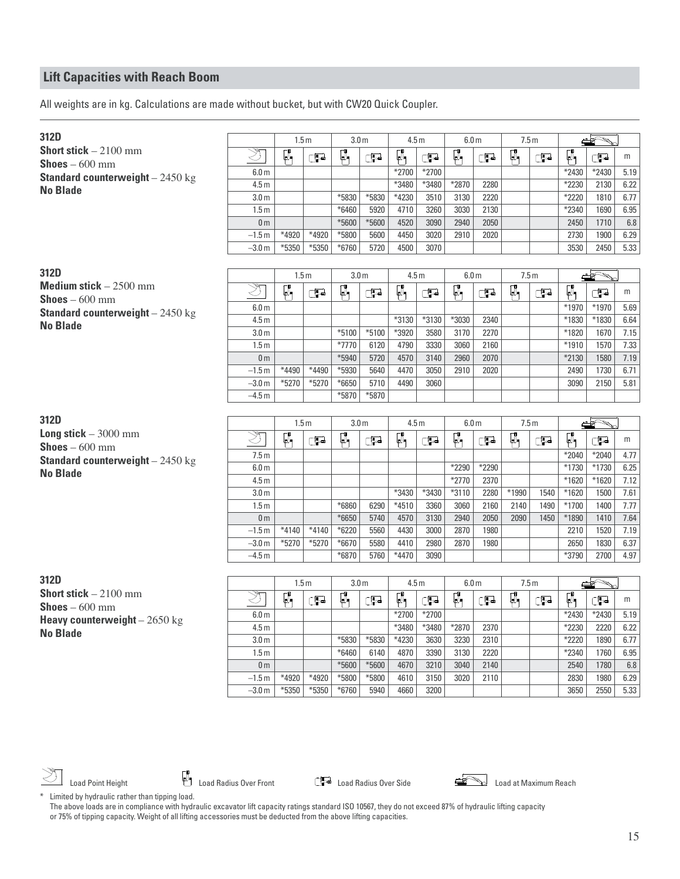All weights are in kg. Calculations are made without bucket, but with CW20 Quick Coupler.

| 312D                                      |                                    | 1.5 <sub>m</sub> |         | 3.0 <sub>m</sub> |               |                 | 4.5 <sub>m</sub> | 6.0 <sub>m</sub>          |              | 7.5 <sub>m</sub>          |                |                  | $\rightarrow$ |              |
|-------------------------------------------|------------------------------------|------------------|---------|------------------|---------------|-----------------|------------------|---------------------------|--------------|---------------------------|----------------|------------------|---------------|--------------|
| <b>Short stick</b> $-2100$ mm             | ষ্ঠ                                | Ø,               | Œ       | Ø,               | Œ             | Ø,              | Œ                | $\overline{\mathbb{A}}_1$ | Œ            | $\overline{\mathbb{A}}_1$ | Œ              | F.               | Œ             | m            |
| <b>Shoes</b> $-600$ mm                    | 6.0 <sub>m</sub>                   |                  |         |                  |               | *2700           | *2700            |                           |              |                           |                | *2430            | *2430         | 5.19         |
| <b>Standard counterweight</b> $-2450$ kg  | 4.5 <sub>m</sub>                   |                  |         |                  |               | *3480           | *3480            | *2870                     | 2280         |                           |                | *2230            | 2130          | 6.22         |
| <b>No Blade</b>                           | 3.0 <sub>m</sub>                   |                  |         | *5830            | *5830         | *4230           | 3510             | 3130                      | 2220         |                           |                | *2220            | 1810          | 6.77         |
|                                           | 1.5 <sub>m</sub>                   |                  |         | *6460            | 5920          | 4710            | 3260             | 3030                      | 2130         |                           |                | *2340            | 1690          | 6.95         |
|                                           | 0 <sub>m</sub>                     |                  |         | *5600            | *5600         | 4520            | 3090             | 2940                      | 2050         |                           |                | 2450             | 1710          | 6.8          |
|                                           | $-1.5m$                            | $*4920$          | *4920   | *5800            | 5600          | 4450            | 3020             | 2910                      | 2020         |                           |                | 2730             | 1900          | 6.29         |
|                                           | $-3.0 m$                           | *5350            | *5350   | *6760            | 5720          | 4500            | 3070             |                           |              |                           |                | 3530             | 2450          | 5.33         |
|                                           |                                    |                  |         |                  |               |                 |                  |                           |              |                           |                |                  |               |              |
| 312D                                      |                                    | 1.5 <sub>m</sub> |         | 3.0 <sub>m</sub> |               |                 | 4.5 <sub>m</sub> | 6.0 <sub>m</sub>          |              | 7.5 <sub>m</sub>          |                |                  | $\Rightarrow$ |              |
| Medium stick $-2500$ mm                   | $\overline{\mathcal{Z}}$           | μ                | Œ       | ρ,               | Œ             | $\mathbb{Z}_1$  | Œ                | $\mathbb{R}_1$            | Œ            | Ø,                        | Œ              | μ,               | Œ             | m            |
| <b>Shoes</b> $-600$ mm                    | 6.0 <sub>m</sub>                   |                  |         |                  |               |                 |                  |                           |              |                           |                | *1970            | *1970         | 5.69         |
| <b>Standard counterweight</b> $-2450$ kg  | 4.5 <sub>m</sub>                   |                  |         |                  |               | *3130           | *3130            | $*3030$                   | 2340         |                           |                | *1830            | *1830         | 6.64         |
| <b>No Blade</b>                           | 3.0 <sub>m</sub>                   |                  |         | $*5100$          | $*5100$       | *3920           | 3580             | 3170                      | 2270         |                           |                | *1820            | 1670          | 7.15         |
|                                           | 1.5 <sub>m</sub>                   |                  |         | $*7770$          | 6120          | 4790            | 3330             | 3060                      | 2160         |                           |                | $*1910$          | 1570          | 7.33         |
|                                           | 0 <sub>m</sub>                     |                  |         | *5940            | 5720          | 4570            | 3140             | 2960                      | 2070         |                           |                | *2130            | 1580          | 7.19         |
|                                           | $-1.5m$                            | *4490            | *4490   | *5930            | 5640          | 4470            | 3050             | 2910                      | 2020         |                           |                | 2490             | 1730          | 6.71         |
|                                           | $-3.0 m$                           | $*5270$          | $*5270$ | *6650            | 5710          | 4490            | 3060             |                           |              |                           |                | 3090             | 2150          | 5.81         |
|                                           | $-4.5m$                            |                  |         | *5870            | $*5870$       |                 |                  |                           |              |                           |                |                  |               |              |
|                                           |                                    |                  |         |                  |               |                 |                  |                           |              |                           |                |                  |               |              |
|                                           |                                    |                  |         |                  |               |                 |                  |                           |              |                           |                |                  |               |              |
| 312D                                      |                                    | 1.5 <sub>m</sub> |         | 3.0 <sub>m</sub> |               |                 | 4.5 <sub>m</sub> | 6.0 <sub>m</sub>          |              | 7.5m                      |                |                  |               |              |
| Long stick $-3000$ mm                     |                                    |                  |         |                  |               |                 |                  |                           |              |                           |                |                  |               |              |
| <b>Shoes</b> $-600$ mm                    | ষ্ঠ                                | Ø,               | Œ       | Ø,               | Œ             | Ø,              | Œ                | α,                        | Œ            | Ø,                        | C <sub>2</sub> | ÇΪ,              | ුටු           | m            |
| <b>Standard counterweight</b> $- 2450$ kg | 7.5m                               |                  |         |                  |               |                 |                  |                           |              |                           |                | $*2040$          | *2040         | 4.77         |
| <b>No Blade</b>                           | 6.0 <sub>m</sub>                   |                  |         |                  |               |                 |                  | *2290                     | *2290        |                           |                | $*1730$          | *1730         | 6.25         |
|                                           | 4.5 <sub>m</sub>                   |                  |         |                  |               |                 |                  | $*2770$                   | 2370         |                           |                | $*1620$          | $*1620$       | 7.12         |
|                                           | 3.0 <sub>m</sub>                   |                  |         |                  |               | *3430           | *3430            | $*3110$                   | 2280         | *1990                     | 1540           | *1620            | 1500          | 7.61         |
|                                           | 1.5 <sub>m</sub><br>0 <sub>m</sub> |                  |         | *6860<br>*6650   | 6290<br>5740  | $*4510$<br>4570 | 3360<br>3130     | 3060<br>2940              | 2160<br>2050 | 2140<br>2090              | 1490<br>1450   | $*1700$<br>*1890 | 1400<br>1410  | 7.77<br>7.64 |
|                                           | $-1.5m$                            | $*4140$          | $*4140$ | $*6220$          | 5560          | 4430            | 3000             | 2870                      | 1980         |                           |                | 2210             | 1520          | 7.19         |
|                                           | $-3.0 m$                           | $*5270$          | $*5270$ | *6670            | 5580          | 4410            | 2980             | 2870                      | 1980         |                           |                | 2650             | 1830          | 6.37         |
|                                           | $-4.5m$                            |                  |         | *6870            | 5760          | $*4470$         | 3090             |                           |              |                           |                | *3790            | 2700          | 4.97         |
|                                           |                                    |                  |         |                  |               |                 |                  |                           |              |                           |                |                  |               |              |
| 312D                                      |                                    | 1.5 <sub>m</sub> |         | 3.0 <sub>m</sub> |               |                 | 4.5 <sub>m</sub> | 6.0 <sub>m</sub>          |              | 7.5m                      |                |                  | كالمستد       |              |
| Short stick $-2100$ mm                    |                                    |                  |         |                  |               |                 |                  |                           |              |                           |                |                  |               |              |
| $\text{Shoes} - 600 \text{ mm}$           | Ž                                  | Ø,               | Œ       | Ø,               | Œ             | Ø,              | ුව               | Ø,                        | Œ            | Ø,                        | $\mathbb{C}$   | ÇΝ.              | Œ             | m            |
| Heavy counterweight $-2650$ kg            | 6.0 <sub>m</sub>                   |                  |         |                  |               | *2700           | $*2700$          |                           |              |                           |                | *2430            | *2430         | 5.19         |
| <b>No Blade</b>                           | 4.5 <sub>m</sub>                   |                  |         |                  |               | *3480           | *3480            | *2870                     | 2370         |                           |                | *2230            | 2220          | 6.22         |
|                                           | 3.0 <sub>m</sub>                   |                  |         | *5830            | *5830         | *4230           | 3630             | 3230                      | 2310         |                           |                | *2220<br>$*2340$ | 1890          | 6.77         |
|                                           | 1.5 <sub>m</sub><br>0 <sub>m</sub> |                  |         | $*6460$<br>*5600 | 6140<br>*5600 | 4870<br>4670    | 3390<br>3210     | 3130<br>3040              | 2220<br>2140 |                           |                | 2540             | 1760<br>1780  | 6.95<br>6.8  |
|                                           | $-1.5m$                            | *4920            | *4920   | *5800            | *5800         | 4610            | 3150             | 3020                      | 2110         |                           |                | 2830             | 1980          | 6.29         |

Load Point Height **Load Radius Over Front** Load Radius Over Side **Load Point Height** Load at Maximum Reach



\* Limited by hydraulic rather than tipping load. The above loads are in compliance with hydraulic excavator lift capacity ratings standard ISO 10567, they do not exceed 87% of hydraulic lifting capacity or 75% of tipping capacity. Weight of all lifting accessories must be deducted from the above lifting capacities.

15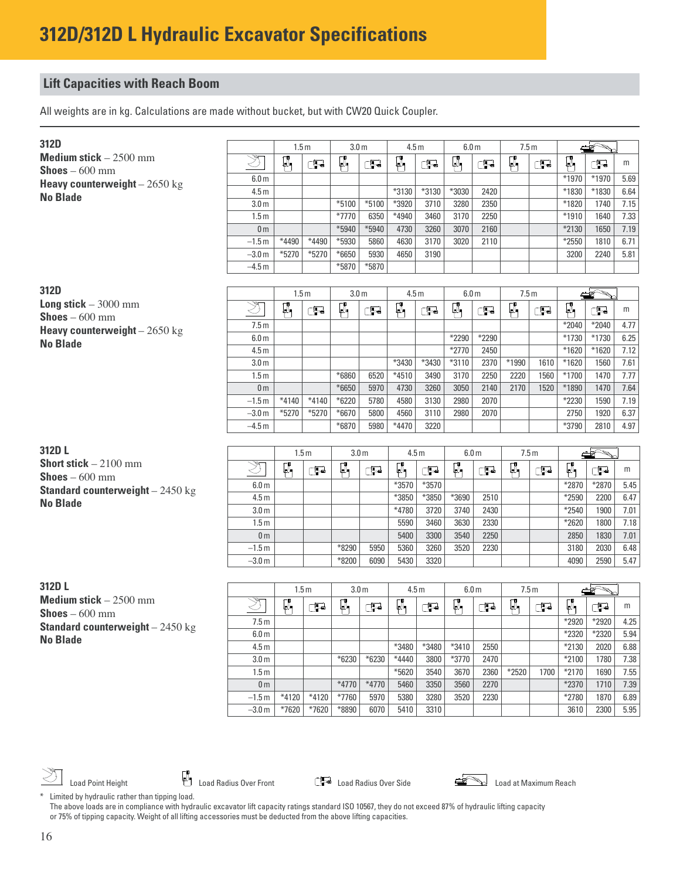All weights are in kg. Calculations are made without bucket, but with CW20 Quick Coupler.

| 312D                                            |                                      | 1.5 <sub>m</sub>   |                    | 3.0 <sub>m</sub>   |                  | 4.5 <sub>m</sub> |              | 6.0 <sub>m</sub> |              | 7.5m             |      |                    |              |              |
|-------------------------------------------------|--------------------------------------|--------------------|--------------------|--------------------|------------------|------------------|--------------|------------------|--------------|------------------|------|--------------------|--------------|--------------|
| <b>Medium stick</b> $-2500$ mm                  | Z                                    | ₽.                 | Œ                  | φ,                 | Œ                | $\Box$           | Œ            | ŗ,               | Œ            | $\mathbb{Z}_1$   | Œ    | $\mathbb{C}$       | Ŧ            | m            |
| <b>Shoes</b> $-600$ mm                          | 6.0 <sub>m</sub>                     |                    |                    |                    |                  |                  |              |                  |              |                  |      | *1970              | *1970        | 5.69         |
| Heavy counterweight $-2650$ kg                  | 4.5 <sub>m</sub>                     |                    |                    |                    |                  | *3130            | *3130        | *3030            | 2420         |                  |      | *1830              | *1830        | 6.64         |
| <b>No Blade</b>                                 | 3.0 <sub>m</sub>                     |                    |                    | $*5100$            | $*5100$          | *3920            | 3710         | 3280             | 2350         |                  |      | *1820              | 1740         | 7.15         |
|                                                 | 1.5 <sub>m</sub>                     |                    |                    | *7770              | 6350             | *4940            | 3460         | 3170             | 2250         |                  |      | $*1910$            | 1640         | 7.33         |
|                                                 | 0 <sub>m</sub>                       |                    |                    | *5940              | $*5940$          | 4730             | 3260         | 3070             | 2160         |                  |      | *2130              | 1650         | 7.19         |
|                                                 | $-1.5m$                              | *4490              | *4490              | *5930              | 5860             | 4630             | 3170         | 3020             | 2110         |                  |      | *2550              | 1810         | 6.71         |
|                                                 | $-3.0 m$                             | $*5270$            | $*5270$            | $*6650$            | 5930             | 4650             | 3190         |                  |              |                  |      | 3200               | 2240         | 5.81         |
|                                                 | $-4.5m$                              |                    |                    | *5870              | *5870            |                  |              |                  |              |                  |      |                    |              |              |
|                                                 |                                      |                    |                    |                    |                  |                  |              |                  |              |                  |      |                    |              |              |
| 312D                                            |                                      | 1.5 <sub>m</sub>   |                    | 3.0 <sub>m</sub>   |                  | 4.5 <sub>m</sub> |              | 6.0 <sub>m</sub> |              | 7.5 <sub>m</sub> |      |                    |              |              |
| Long stick $-3000$ mm<br><b>Shoes</b> $-600$ mm | $\bigotimes$                         | Ø,                 | Œ                  | φ,                 | Œ                | ŗ,               | Œ            | Ø,               | Œ            | $\mathbb{Z}_1$   | GB   | $\mathbb{Z}_1$     | Œ            | m            |
| Heavy counterweight $-2650$ kg                  | 7.5 <sub>m</sub>                     |                    |                    |                    |                  |                  |              |                  |              |                  |      | $*2040$            | $*2040$      | 4.77         |
| <b>No Blade</b>                                 | 6.0 <sub>m</sub>                     |                    |                    |                    |                  |                  |              | *2290            | $*2290$      |                  |      | $*1730$            | $*1730$      | 6.25         |
|                                                 | 4.5 <sub>m</sub>                     |                    |                    |                    |                  |                  |              | *2770            | 2450         |                  |      | $*1620$            | $*1620$      | 7.12         |
|                                                 | 3.0 <sub>m</sub>                     |                    |                    |                    |                  | *3430            | *3430        | $*3110$          | 2370         | *1990            | 1610 | $*1620$            | 1560         | 7.61         |
|                                                 | 1.5 <sub>m</sub>                     |                    |                    | *6860              | 6520             | $*4510$          | 3490         | 3170             | 2250         | 2220             | 1560 | *1700              | 1470         | 7.77         |
|                                                 | 0 <sub>m</sub>                       |                    |                    | *6650              | 5970             | 4730             | 3260         | 3050             | 2140         | 2170             | 1520 | *1890              | 1470         | 7.64         |
|                                                 | $-1.5m$<br>$-3.0 m$                  | $*4140$<br>$*5270$ | $*4140$<br>$*5270$ | $*6220$<br>$*6670$ | 5780<br>5800     | 4580<br>4560     | 3130<br>3110 | 2980             | 2070<br>2070 |                  |      | *2230<br>2750      | 1590<br>1920 | 7.19<br>6.37 |
|                                                 | $-4.5m$                              |                    |                    | *6870              | 5980             | *4470            | 3220         | 2980             |              |                  |      | *3790              | 2810         | 4.97         |
|                                                 |                                      |                    |                    |                    |                  |                  |              |                  |              |                  |      |                    |              |              |
| 312D L                                          |                                      |                    | 1.5 <sub>m</sub>   |                    | 3.0 <sub>m</sub> |                  | 4.5m         | 6.0 <sub>m</sub> |              | 7.5m             |      |                    |              |              |
| <b>Short stick</b> $-2100$ mm                   | Z                                    |                    |                    |                    |                  |                  |              |                  |              |                  |      |                    |              |              |
| <b>Shoes</b> $-600$ mm                          |                                      | Ø,                 | ුව                 | Ø,                 | Œ                | Ø,               | Œ            | $\mathbb{F}_1$   | Ŧ            | Ø,               | Œ    | μ,                 | Œ            | m            |
| <b>Standard counterweight</b> $-2450$ kg        | 6.0 <sub>m</sub>                     |                    |                    |                    |                  | *3570            | $*3570$      |                  |              |                  |      | $*2870$            | *2870        | 5.45         |
| <b>No Blade</b>                                 | 4.5 <sub>m</sub>                     |                    |                    |                    |                  | *3850            | *3850        | *3690            | 2510         |                  |      | *2590              | 2200         | 6.47         |
|                                                 | 3.0 <sub>m</sub>                     |                    |                    |                    |                  | *4780<br>5590    | 3720<br>3460 | 3740<br>3630     | 2430<br>2330 |                  |      | $*2540$<br>*2620   | 1900<br>1800 | 7.01         |
|                                                 | 1.5 <sub>m</sub><br>0 <sub>m</sub>   |                    |                    |                    |                  | 5400             | 3300         | 3540             | 2250         |                  |      | 2850               | 1830         | 7.18<br>7.01 |
|                                                 | $-1.5m$                              |                    |                    | *8290              | 5950             | 5360             | 3260         | 3520             | 2230         |                  |      | 3180               | 2030         | 6.48         |
|                                                 | $-3.0 m$                             |                    |                    | *8200              | 6090             | 5430             | 3320         |                  |              |                  |      | 4090               | 2590         | 5.47         |
|                                                 |                                      |                    |                    |                    |                  |                  |              |                  |              |                  |      |                    |              |              |
| 312DL                                           |                                      |                    | 1.5 <sub>m</sub>   |                    | 3.0 <sub>m</sub> | 4.5 <sub>m</sub> |              | 6.0 <sub>m</sub> |              | 7.5m             |      |                    |              |              |
| <b>Medium stick</b> $-2500$ mm                  |                                      |                    |                    |                    |                  |                  |              |                  |              |                  |      |                    |              |              |
| <b>Shoes</b> $-600$ mm                          |                                      | Ø,                 | G                  | Ø,                 | ď                | Ø,               | Œ            | ρ,               | Œ            | Ø,               | Œ    | μ,                 | ුටු          | m            |
| <b>Standard counterweight</b> $- 2450$ kg       | 7.5 <sub>m</sub>                     |                    |                    |                    |                  |                  |              |                  |              |                  |      | *2920              | *2920        | 4.25         |
| <b>No Blade</b>                                 | 6.0 <sub>m</sub>                     |                    |                    |                    |                  |                  |              |                  |              |                  |      | *2320              | $*2320$      | 5.94         |
|                                                 | 4.5 <sub>m</sub>                     |                    |                    |                    |                  | *3480            | *3480        | $*3410$          | 2550         |                  |      | $*2130$            | 2020         | 6.88         |
|                                                 | 3.0 <sub>m</sub><br>1.5 <sub>m</sub> |                    |                    | $*6230$            | $*6230$          | *4440<br>$*5620$ | 3800<br>3540 | *3770<br>3670    | 2470<br>2360 | $*2520$          | 1700 | $*2100$<br>$*2170$ | 1780<br>1690 | 7.38<br>7.55 |
|                                                 | 0 <sub>m</sub>                       |                    |                    | $*4770$            | $*4770$          | 5460             | 3350         | 3560             | 2270         |                  |      | *2370              | 1710         | 7.39         |
|                                                 | $-1.5m$                              | $*4120$            | $*4120$            | *7760              | 5970             | 5380             | 3280         | 3520             | 2230         |                  |      | *2780              | 1870         | 6.89         |
|                                                 | $-3.0m$                              | $*7620$            | *7620              | $*8890$            | 6070             | 5410             | 3310         |                  |              |                  |      | 3610               | 2300         | 5.95         |

Load Point Height **Load Radius Over Front** Load Radius Over Side Load Point Height Load at Maximum Reach



\* Limited by hydraulic rather than tipping load. The above loads are in compliance with hydraulic excavator lift capacity ratings standard ISO 10567, they do not exceed 87% of hydraulic lifting capacity or 75% of tipping capacity. Weight of all lifting accessories must be deducted from the above lifting capacities.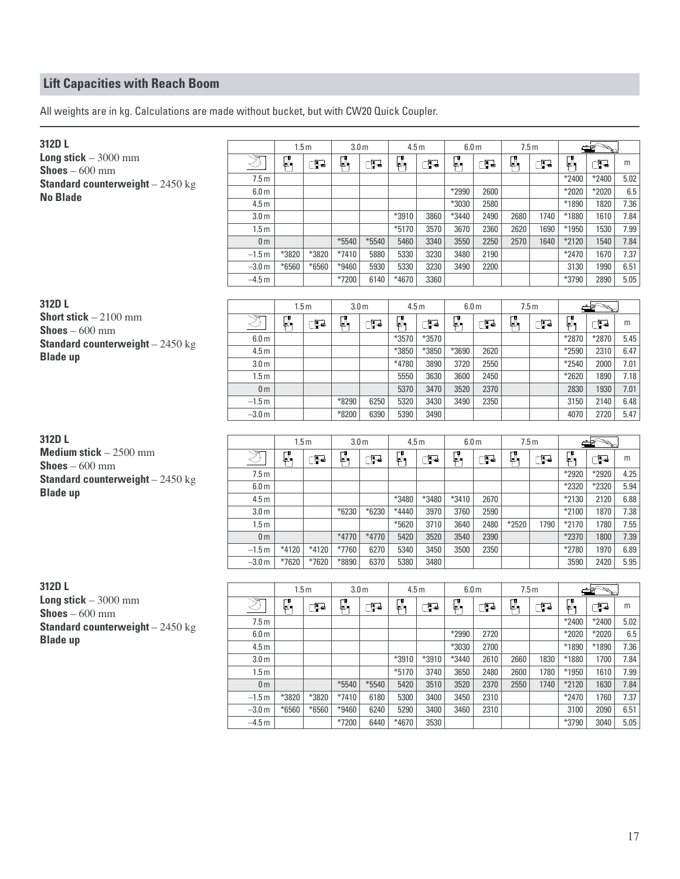All weights are in kg. Calculations are made without bucket, but with CW20 Quick Coupler.

| 312DL                                                   |                     | 1.5 <sub>m</sub> |         | 3.0 <sub>m</sub> |              | 4.5 <sub>m</sub> |              | 6.0 <sub>m</sub> |      | 7.5m             |      |               | ఆశ్          |              |
|---------------------------------------------------------|---------------------|------------------|---------|------------------|--------------|------------------|--------------|------------------|------|------------------|------|---------------|--------------|--------------|
| Long stick $-3000$ mm                                   | ষ্ঠ                 | ŀ                | ුව      | ŀ                | ුව           | ŀ                | ුව           | ŀ                | ුව   | $\mathbb{R}_{1}$ | ුව   | μ,            | Œ            | m            |
| <b>Shoes</b> $-600$ mm                                  | 7.5 <sub>m</sub>    |                  |         |                  |              |                  |              |                  |      |                  |      | *2400         | *2400        | 5.02         |
| <b>Standard counterweight</b> $-2450$ kg                | 6.0 <sub>m</sub>    |                  |         |                  |              |                  |              | *2990            | 2600 |                  |      | *2020         | *2020        | 6.5          |
| <b>No Blade</b>                                         | 4.5 <sub>m</sub>    |                  |         |                  |              |                  |              | *3030            | 2580 |                  |      | *1890         | 1820         | 7.36         |
|                                                         | 3.0 <sub>m</sub>    |                  |         |                  |              | *3910            | 3860         | *3440            | 2490 | 2680             | 1740 | *1880         | 1610         | 7.84         |
|                                                         | 1.5 <sub>m</sub>    |                  |         |                  |              | $*5170$          | 3570         | 3670             | 2360 | 2620             | 1690 | *1950         | 1530         | 7.99         |
|                                                         | 0 <sub>m</sub>      |                  |         | *5540            | $*5540$      | 5460             | 3340         | 3550             | 2250 | 2570             | 1640 | *2120         | 1540         | 7.84         |
|                                                         | $-1.5m$             | $*3820$          | *3820   | $*7410$          | 5880         | 5330             | 3230         | 3480             | 2190 |                  |      | *2470         | 1670         | 7.37         |
|                                                         | $-3.0 m$            | *6560            | *6560   | *9460            | 5930         | 5330             | 3230         | 3490             | 2200 |                  |      | 3130          | 1990         | 6.51         |
|                                                         | $-4.5 m$            |                  |         | *7200            | 6140         | $*4670$          | 3360         |                  |      |                  |      | *3790         | 2890         | 5.05         |
|                                                         |                     |                  |         |                  |              |                  |              |                  |      |                  |      |               |              |              |
| 312D L                                                  |                     | 1.5 <sub>m</sub> |         | 3.0 <sub>m</sub> |              | 4.5 <sub>m</sub> |              | 6.0 <sub>m</sub> |      | 7.5m             |      |               |              |              |
| <b>Short stick</b> $-2100$ mm<br><b>Shoes</b> $-600$ mm | ষ্ঠ                 | F,               | ුව      | ŀ                | Œ            | Ø,               | ුව           | ŀ                | ුව   | $\mathbb{R}_{1}$ | ුව   | μ,            | Œ            | m            |
| <b>Standard counterweight</b> $-2450$ kg                | 6.0 <sub>m</sub>    |                  |         |                  |              | *3570            | *3570        |                  |      |                  |      | *2870         | *2870        | 5.45         |
| <b>Blade up</b>                                         | 4.5 <sub>m</sub>    |                  |         |                  |              | *3850            | *3850        | *3690            | 2620 |                  |      | *2590         | 2310         | 6.47         |
|                                                         | 3.0 <sub>m</sub>    |                  |         |                  |              | *4780            | 3890         | 3720             | 2550 |                  |      | *2540         | 2000         | 7.01         |
|                                                         | 1.5 <sub>m</sub>    |                  |         |                  |              | 5550             | 3630         | 3600             | 2450 |                  |      | *2620         | 1890         | 7.18         |
|                                                         | 0 <sub>m</sub>      |                  |         |                  |              | 5370             | 3470         | 3520             | 2370 |                  |      | 2830          | 1930         | 7.01         |
|                                                         | $-1.5m$             |                  |         | *8290            | 6250         | 5320             | 3430         | 3490             | 2350 |                  |      | 3150          | 2140         | 6.48         |
|                                                         | $-3.0 m$            |                  |         | *8200            | 6390         | 5390             | 3490         |                  |      |                  |      | 4070          | 2720         | 5.47         |
| 312DL                                                   |                     |                  |         |                  |              |                  |              |                  |      |                  |      |               |              |              |
| Medium stick $-2500$ mm                                 |                     | 1.5 <sub>m</sub> |         | 3.0 <sub>m</sub> |              | 4.5 <sub>m</sub> |              | 6.0 <sub>m</sub> |      | 7.5m             |      |               |              |              |
|                                                         | Ž                   | $\Box$           | Œ       | Ø,               | Œ            | $\mathbb{Z}_1$   | Œ            | $\Box$           | Œ    | φ,               | Œ    | φ,            | Œ            | m            |
|                                                         |                     |                  |         |                  |              |                  |              |                  |      |                  |      | *2920         | *2920        | 4.25         |
| <b>Shoes</b> $-600$ mm                                  | 7.5 <sub>m</sub>    |                  |         |                  |              |                  |              |                  |      |                  |      |               |              |              |
| <b>Standard counterweight</b> $-2450$ kg                | 6.0 <sub>m</sub>    |                  |         |                  |              |                  |              |                  |      |                  |      | *2320         | *2320        | 5.94         |
| <b>Blade up</b>                                         | 4.5 <sub>m</sub>    |                  |         |                  |              | *3480            | *3480        | $*3410$          | 2670 |                  |      | *2130         | 2120         | 6.88         |
|                                                         | 3.0 <sub>m</sub>    |                  |         | *6230            | *6230        | $*4440$          | 3970         | 3760             | 2590 |                  |      | $*2100$       | 1870         | 7.38         |
|                                                         | 1.5 <sub>m</sub>    |                  |         |                  |              | $*5620$          | 3710         | 3640             | 2480 | *2520            | 1790 | $*2170$       | 1780         | 7.55         |
|                                                         | 0 <sub>m</sub>      |                  |         | *4770            | *4770        | 5420             | 3520         | 3540             | 2390 |                  |      | *2370         | 1800         | 7.39         |
|                                                         | $-1.5m$             | $*4120$          | $*4120$ | *7760            | 6270         | 5340             | 3450         | 3500             | 2350 |                  |      | *2780         | 1970         | 6.89         |
|                                                         | $-3.0 m$            | *7620            | *7620   | *8890            | 6370         | 5380             | 3480         |                  |      |                  |      | 3590          | 2420         | 5.95         |
| 312D L                                                  |                     |                  |         |                  |              |                  |              |                  |      |                  |      |               |              |              |
| Long stick $-3000$ mm                                   |                     | 1.5 <sub>m</sub> |         | 3.0 <sub>m</sub> |              | 4.5 <sub>m</sub> |              | 6.0 <sub>m</sub> |      | 7.5m             |      |               |              |              |
| <b>Shoes</b> $-600$ mm                                  |                     | Ø,               | Œ       | ρ,               | ුව           | $\mathbb{C}^n$   | Œ            | $\mathbb{R}_1$   | Œ    | μ,               | Œ    | μ,            | Œ            | m            |
| <b>Standard counterweight</b> $-2450$ kg                | 7.5 <sub>m</sub>    |                  |         |                  |              |                  |              |                  |      |                  |      | *2400         | *2400        | 5.02         |
| <b>Blade up</b>                                         | $6.0\,\mathrm{m}$   |                  |         |                  |              |                  |              | $*2990$          | 2720 |                  |      | $*2020$       | $*2020$      | $6.5\,$      |
|                                                         | 4.5 <sub>m</sub>    |                  |         |                  |              |                  |              | *3030            | 2700 |                  |      | $*1890$       | *1890        | 7.36         |
|                                                         | 3.0 <sub>m</sub>    |                  |         |                  |              | $*3910$          | *3910        | *3440            | 2610 | 2660             | 1830 | *1880         | 1700         | 7.84         |
|                                                         | 1.5 <sub>m</sub>    |                  |         |                  |              | $*5170$          | 3740         | 3650             | 2480 | 2600             | 1780 | *1950         | 1610         | 7.99         |
|                                                         | 0 <sub>m</sub>      |                  |         | $*5540$          | $*5540$      | 5420             | 3510         | 3520             | 2370 | 2550             | 1740 | $*2120$       | 1630         | 7.84         |
|                                                         | $-1.5m$             | *3820            | $*3820$ | $*7410$          | 6180         | 5300             | 3400         | 3450<br>3460     | 2310 |                  |      | *2470         | 1760         | 7.37         |
|                                                         | $-3.0 m$<br>$-4.5m$ | $*6560$          | $*6560$ | $*9460$<br>*7200 | 6240<br>6440 | 5290<br>*4670    | 3400<br>3530 |                  | 2310 |                  |      | 3100<br>*3790 | 2090<br>3040 | 6.51<br>5.05 |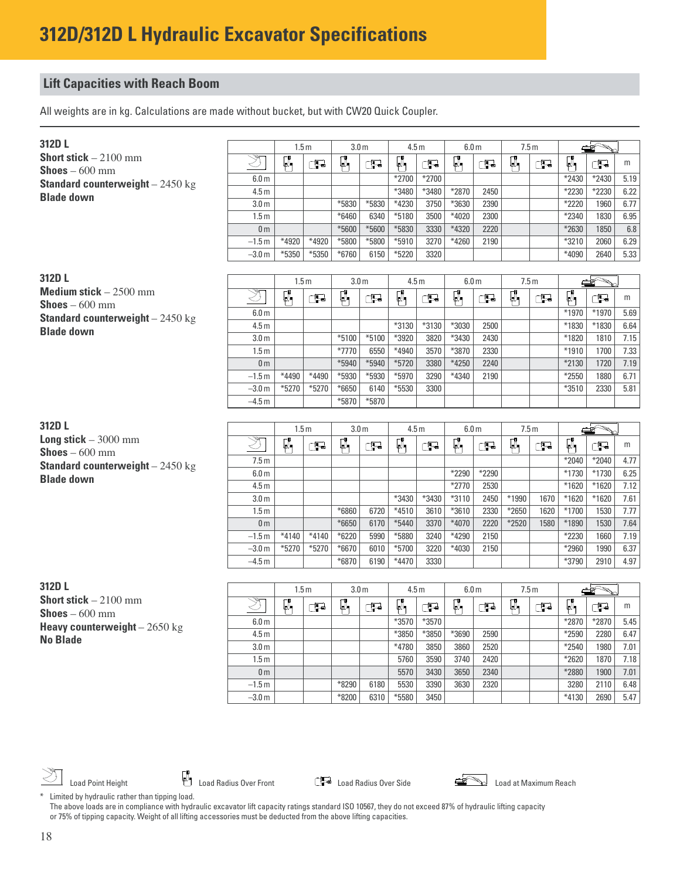All weights are in kg. Calculations are made without bucket, but with CW20 Quick Coupler.

| 312DL                                                         |                     |                | 1.5 <sub>m</sub> | 3.0 <sub>m</sub> |                  | 4.5 <sub>m</sub> |                  | 6.0 <sub>m</sub> |              | 7.5m  |      |                | $\rightarrow$ |              |
|---------------------------------------------------------------|---------------------|----------------|------------------|------------------|------------------|------------------|------------------|------------------|--------------|-------|------|----------------|---------------|--------------|
| <b>Short stick</b> $-2100$ mm                                 | Š,                  | Ø,             | Œ                | ŀ,               | Œ                | Ø,               | Œ                | $\mathbb{C}$     | ුටු          | Ø,    | Œ    | Ø,             | ď             | m            |
| <b>Shoes</b> $-600$ mm                                        | 6.0 <sub>m</sub>    |                |                  |                  |                  | *2700            | *2700            |                  |              |       |      | *2430          | *2430         | 5.19         |
| <b>Standard counterweight</b> $-2450$ kg<br><b>Blade down</b> | 4.5 <sub>m</sub>    |                |                  |                  |                  | *3480            | *3480            | *2870            | 2450         |       |      | *2230          | *2230         | 6.22         |
|                                                               | 3.0 <sub>m</sub>    |                |                  | *5830            | *5830            | $*4230$          | 3750             | *3630            | 2390         |       |      | $*2220$        | 1960          | 6.77         |
|                                                               | 1.5 <sub>m</sub>    |                |                  | $*6460$          | 6340             | *5180            | 3500             | $*4020$          | 2300         |       |      | *2340          | 1830          | 6.95         |
|                                                               | 0 <sub>m</sub>      |                |                  | *5600            | *5600            | *5830            | 3330             | *4320            | 2220         |       |      | *2630          | 1850          | 6.8          |
|                                                               | $-1.5m$             | $*4920$        | *4920            | *5800            | *5800            | $*5910$          | 3270             | *4260            | 2190         |       |      | *3210          | 2060          | 6.29         |
|                                                               | $-3.0 m$            | $*5350$        | *5350            | *6760            | 6150             | *5220            | 3320             |                  |              |       |      | *4090          | 2640          | 5.33         |
|                                                               |                     |                |                  |                  |                  |                  |                  |                  |              |       |      |                |               |              |
| 312DL                                                         |                     | 1.5m           |                  | 3.0 <sub>m</sub> |                  | 4.5 <sub>m</sub> |                  | 6.0 <sub>m</sub> |              | 7.5m  |      |                |               |              |
| Medium stick $-2500$ mm                                       | Z                   | $\mathbb{R}_1$ | Œ                | Ø,               | Œ                | Ø,               | Œ                | $\mathbb{R}$     | Œ            | Ø,    | Œ    | Ø,             | Œ             | m            |
| <b>Shoes</b> $-600$ mm                                        | 6.0 <sub>m</sub>    |                |                  |                  |                  |                  |                  |                  |              |       |      | *1970          | *1970         | 5.69         |
| <b>Standard counterweight</b> $-2450$ kg                      | 4.5 <sub>m</sub>    |                |                  |                  |                  | *3130            | *3130            | *3030            | 2500         |       |      | *1830          | *1830         | 6.64         |
| <b>Blade down</b>                                             | 3.0 <sub>m</sub>    |                |                  | $*5100$          | $*5100$          | *3920            | 3820             | *3430            | 2430         |       |      | *1820          | 1810          | 7.15         |
|                                                               | 1.5 <sub>m</sub>    |                |                  | *7770            | 6550             | *4940            | 3570             | *3870            | 2330         |       |      | $*1910$        | 1700          | 7.33         |
|                                                               | 0 <sub>m</sub>      |                |                  | *5940            | *5940            | *5720            | 3380             | *4250            | 2240         |       |      | *2130          | 1720          | 7.19         |
|                                                               | $-1.5m$             | $*4490$        | *4490            | *5930            | *5930            | $*5970$          | 3290             | *4340            | 2190         |       |      | $*2550$        | 1880          | 6.71         |
|                                                               | $-3.0 m$            | $*5270$        | $*5270$          | *6650            | 6140             | *5530            | 3300             |                  |              |       |      | *3510          | 2330          | 5.81         |
|                                                               | $-4.5m$             |                |                  | *5870            | *5870            |                  |                  |                  |              |       |      |                |               |              |
|                                                               |                     |                |                  |                  |                  |                  |                  |                  |              |       |      |                |               |              |
|                                                               |                     |                |                  |                  |                  |                  | 4.5 <sub>m</sub> | 6.0 <sub>m</sub> |              | 7.5m  |      |                |               |              |
| 312DL                                                         |                     |                | 1.5 <sub>m</sub> | 3.0 <sub>m</sub> |                  |                  |                  |                  |              |       |      |                |               |              |
| Long stick $-3000$ mm                                         |                     |                |                  |                  |                  |                  |                  |                  |              |       |      |                |               |              |
| <b>Shoes</b> $-600$ mm                                        | Ž                   | $\mathbb{Q}_1$ | Œ                | Ø,               | Œ                | Ø,               | Œ                | Ø,               | Œ            | Ø,    | Œ    | φ,             | Œ             | m            |
| <b>Standard counterweight</b> $-2450$ kg                      | 7.5 <sub>m</sub>    |                |                  |                  |                  |                  |                  |                  |              |       |      | *2040          | *2040         | 4.77         |
| <b>Blade down</b>                                             | 6.0 <sub>m</sub>    |                |                  |                  |                  |                  |                  | *2290            | *2290        |       |      | *1730          | $*1730$       | 6.25         |
|                                                               | 4.5 <sub>m</sub>    |                |                  |                  |                  |                  |                  | $*2770$          | 2530         |       |      | $*1620$        | $*1620$       | 7.12         |
|                                                               | 3.0 <sub>m</sub>    |                |                  |                  |                  | *3430            | *3430            | $*3110$          | 2450         | *1990 | 1670 | *1620          | *1620         | 7.61         |
|                                                               | 1.5 <sub>m</sub>    |                |                  | *6860            | 6720             | $*4510$          | 3610             | *3610            | 2330         | *2650 | 1620 | *1700          | 1530          | 7.77         |
|                                                               | 0 <sub>m</sub>      | $*4140$        | $*4140$          | *6650            | 6170<br>5990     | $*5440$          | 3370<br>3240     | *4070<br>*4290   | 2220         | *2520 | 1580 | *1890<br>*2230 | 1530<br>1660  | 7.64         |
|                                                               | $-1.5m$<br>$-3.0 m$ | $*5270$        | $*5270$          | $*6220$<br>*6670 | 6010             | *5880<br>*5700   | 3220             | *4030            | 2150<br>2150 |       |      | *2960          | 1990          | 7.19<br>6.37 |
|                                                               | $-4.5m$             |                |                  | $*6870$          | 6190             | $*4470$          | 3330             |                  |              |       |      | *3790          | 2910          | 4.97         |
|                                                               |                     |                |                  |                  |                  |                  |                  |                  |              |       |      |                |               |              |
| 312DL                                                         |                     |                |                  |                  |                  |                  |                  |                  |              |       |      |                |               |              |
| Short stick $-2100$ mm                                        |                     |                | 1.5 <sub>m</sub> |                  | 3.0 <sub>m</sub> | 4.5 <sub>m</sub> |                  | 6.0 <sub>m</sub> |              | 7.5m  |      |                |               |              |
| $\mathsf{Shoes}-600$ mm                                       | Z                   | Ø,             | ුව               | Ø,               | Œ                | Ø,               | Œ                | ρ,               | ුව           | Ø,    | ුටු  | Ø,             | Œ             | m            |
| Heavy counterweight $-2650$ kg                                | 6.0 <sub>m</sub>    |                |                  |                  |                  | *3570            | *3570            |                  |              |       |      | *2870          | *2870         | 5.45         |
| <b>No Blade</b>                                               | 4.5 <sub>m</sub>    |                |                  |                  |                  | *3850            | $*3850$          | $*3690$          | 2590         |       |      | *2590          | 2280          | 6.47         |
|                                                               | 3.0 <sub>m</sub>    |                |                  |                  |                  | *4780            | 3850             | 3860             | 2520         |       |      | $*2540$        | 1980          | 7.01         |
|                                                               | 1.5 <sub>m</sub>    |                |                  |                  |                  | 5760             | 3590             | 3740             | 2420         |       |      | *2620          | 1870          | 7.18         |
|                                                               | 0 <sub>m</sub>      |                |                  |                  |                  | 5570             | 3430             | 3650             | 2340         |       |      | *2880          | 1900          | 7.01         |
|                                                               | $-1.5m$<br>$-3.0 m$ |                |                  | *8290<br>*8200   | 6180<br>6310     | 5530<br>*5580    | 3390<br>3450     | 3630             | 2320         |       |      | 3280<br>*4130  | 2110<br>2690  | 6.48<br>5.47 |

Load Point Height **Load Action** Load Radius Over Front **Load Radius Over Side** Load **Commung Reach** Load at Maximum Reach



\* Limited by hydraulic rather than tipping load. The above loads are in compliance with hydraulic excavator lift capacity ratings standard ISO 10567, they do not exceed 87% of hydraulic lifting capacity or 75% of tipping capacity. Weight of all lifting accessories must be deducted from the above lifting capacities.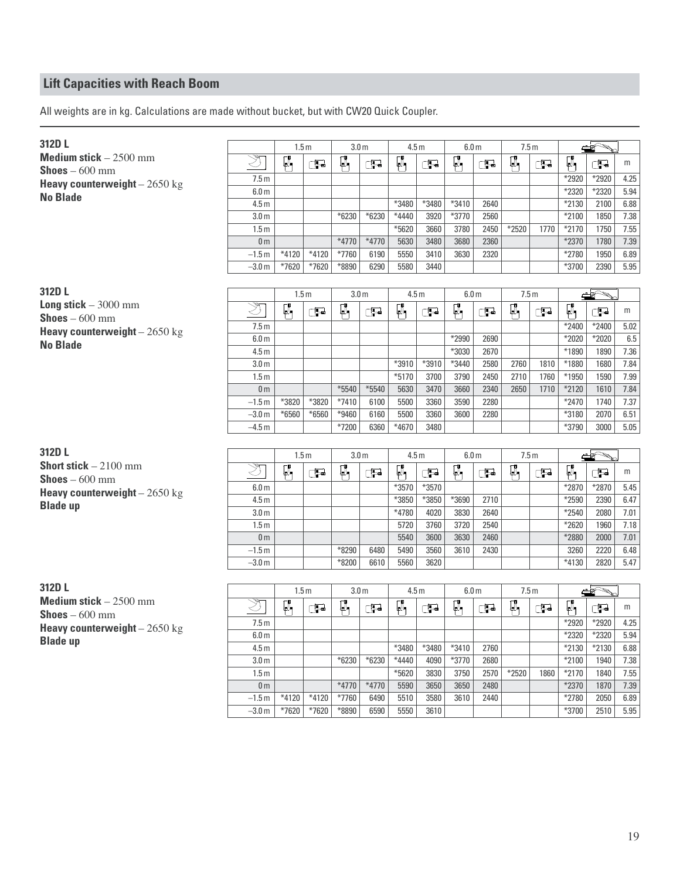All weights are in kg. Calculations are made without bucket, but with CW20 Quick Coupler.

| 312DL                          |                                       | 1.5 <sub>m</sub> |         | 3.0 <sub>m</sub> |       | 4.5 <sub>m</sub> |               | 6.0 <sub>m</sub>    |              | 7.5m             |              |                | ≝శ             |              |
|--------------------------------|---------------------------------------|------------------|---------|------------------|-------|------------------|---------------|---------------------|--------------|------------------|--------------|----------------|----------------|--------------|
| Medium stick $-2500$ mm        | ষ্ঠ                                   | Ø,               | Œ       | Ø,               | Œ     | Ø,               | ුව            | $\mathbb{R}_1$      | Œ            | $\mathbb{R}_{1}$ | ුව           | ŀ              | ුතු            | m            |
| <b>Shoes</b> $-600$ mm         | 7.5m                                  |                  |         |                  |       |                  |               |                     |              |                  |              | *2920          | *2920          | 4.25         |
| Heavy counterweight $-2650$ kg | 6.0 <sub>m</sub>                      |                  |         |                  |       |                  |               |                     |              |                  |              | *2320          | *2320          | 5.94         |
| <b>No Blade</b>                | 4.5 <sub>m</sub>                      |                  |         |                  |       | *3480            | *3480         | $*3410$             | 2640         |                  |              | *2130          | 2100           | 6.88         |
|                                | 3.0 <sub>m</sub>                      |                  |         | *6230            | *6230 | *4440            | 3920          | *3770               | 2560         |                  |              | $*2100$        | 1850           | 7.38         |
|                                | 1.5 <sub>m</sub>                      |                  |         |                  |       | *5620            | 3660          | 3780                | 2450         | $*2520$          | 1770         | *2170          | 1750           | 7.55         |
|                                | 0 <sub>m</sub>                        |                  |         | $*4770$          | *4770 | 5630             | 3480          | 3680                | 2360         |                  |              | *2370          | 1780           | 7.39         |
|                                | $-1.5m$                               | $*4120$          | $*4120$ | *7760            | 6190  | 5550             | 3410          | 3630                | 2320         |                  |              | *2780          | 1950           | 6.89         |
|                                | $-3.0 m$                              | *7620            | *7620   | *8890            | 6290  | 5580             | 3440          |                     |              |                  |              | *3700          | 2390           | 5.95         |
| 312D L                         |                                       |                  |         |                  |       |                  |               |                     |              |                  |              |                |                |              |
| Long stick $-3000$ mm          |                                       | 1.5 <sub>m</sub> |         | 3.0 <sub>m</sub> |       | 4.5 <sub>m</sub> |               | 6.0 <sub>m</sub>    |              | 7.5m             |              |                |                |              |
| <b>Shoes</b> $-600$ mm         | Ž                                     | p,               | Œ       | Ø,               | Œ     | $\mathbb{R}$     | Œ             | Ø,                  | Œ            | Ø,               | $\Box$       | ρ,             | Œ              | m            |
| Heavy counterweight $-2650$ kg | 7.5m                                  |                  |         |                  |       |                  |               |                     |              |                  |              | *2400          | *2400          | 5.02         |
| <b>No Blade</b>                | 6.0 <sub>m</sub>                      |                  |         |                  |       |                  |               | *2990               | 2690         |                  |              | *2020          | *2020          | 6.5          |
|                                | 4.5 <sub>m</sub>                      |                  |         |                  |       |                  |               | *3030               | 2670         |                  |              | *1890          | 1890           | 7.36         |
|                                | 3.0 <sub>m</sub><br>1.5 <sub>m</sub>  |                  |         |                  |       | *3910<br>$*5170$ | *3910<br>3700 | *3440<br>3790       | 2580<br>2450 | 2760<br>2710     | 1810<br>1760 | *1880<br>*1950 | 1680<br>1590   | 7.84<br>7.99 |
|                                | 0 <sub>m</sub>                        |                  |         | *5540            | *5540 | 5630             | 3470          | 3660                | 2340         | 2650             | 1710         | *2120          | 1610           | 7.84         |
|                                | $-1.5m$                               | *3820            | $*3820$ | $*7410$          | 6100  | 5500             | 3360          | 3590                | 2280         |                  |              | *2470          | 1740           | 7.37         |
|                                | $-3.0 m$                              | *6560            | *6560   | *9460            | 6160  | 5500             | 3360          | 3600                | 2280         |                  |              | *3180          | 2070           | 6.51         |
|                                | $-4.5m$                               |                  |         | *7200            | 6360  | $*4670$          | 3480          |                     |              |                  |              | *3790          | 3000           | 5.05         |
|                                |                                       |                  |         |                  |       |                  |               |                     |              |                  |              |                |                |              |
| 312D L                         |                                       | 1.5 <sub>m</sub> |         | 3.0 <sub>m</sub> |       | 4.5 <sub>m</sub> |               | 6.0 <sub>m</sub>    |              |                  | 7.5m         |                |                |              |
| <b>Short stick</b> $-2100$ mm  |                                       | Ø,               | Œ       | ρ,               | Œ     | ρ,               | Œ             | $\bm{\mathbb{I}}_1$ | Œ            | $\Box$           | Œ            | μ,             | Œ              | m            |
| <b>Shoes</b> $-600$ mm         | 6.0 <sub>m</sub>                      |                  |         |                  |       | *3570            | *3570         |                     |              |                  |              | *2870          | *2870          | 5.45         |
| Heavy counterweight $-2650$ kg | 4.5 <sub>m</sub>                      |                  |         |                  |       | *3850            | *3850         | *3690               | 2710         |                  |              | *2590          | 2390           | 6.47         |
| <b>Blade up</b>                | 3.0 <sub>m</sub>                      |                  |         |                  |       | *4780            | 4020          | 3830                | 2640         |                  |              | $*2540$        | 2080           | 7.01         |
|                                | 1.5 <sub>m</sub>                      |                  |         |                  |       | 5720             | 3760          | 3720                | 2540         |                  |              | *2620          | 1960           | 7.18         |
|                                | 0 <sub>m</sub>                        |                  |         |                  |       | 5540             | 3600          | 3630                | 2460         |                  |              | *2880          | 2000           | 7.01         |
|                                | $-1.5m$                               |                  |         | *8290            | 6480  | 5490             | 3560          | 3610                | 2430         |                  |              | 3260           | 2220           | 6.48         |
|                                | $-3.0 m$                              |                  |         | *8200            | 6610  | 5560             | 3620          |                     |              |                  |              | *4130          | 2820           | 5.47         |
| 312DL                          |                                       | 1.5 <sub>m</sub> |         | 3.0 <sub>m</sub> |       | 4.5 <sub>m</sub> |               | 6.0 <sub>m</sub>    |              | 7.5m             |              |                |                |              |
| Medium stick $-2500$ mm        |                                       | $\mathbb{R}_1$   |         | Ø,               |       | $\mathbb{R}$     |               | ŗ,                  |              | μ,               |              | φ,             |                | m            |
| <b>Shoes</b> $-600$ mm         |                                       |                  | Œ       |                  | Œ     |                  | Œ             |                     | Œ            |                  | ුව           |                | ුටු            |              |
| Heavy counterweight $-2650$ kg | 7.5 <sub>m</sub><br>$6.0\,\mathrm{m}$ |                  |         |                  |       |                  |               |                     |              |                  |              | *2920<br>*2320 | *2920<br>*2320 | 4.25<br>5.94 |
| <b>Blade up</b>                | 4.5 <sub>m</sub>                      |                  |         |                  |       | *3480            | *3480         | *3410               | 2760         |                  |              | *2130          | $*2130$        | 6.88         |
|                                | 3.0 <sub>m</sub>                      |                  |         | *6230            | *6230 | *4440            | 4090          | *3770               | 2680         |                  |              | $*2100$        | 1940           | 7.38         |
|                                | 1.5 <sub>m</sub>                      |                  |         |                  |       | $*5620$          | 3830          | 3750                | 2570         | $*2520$          | 1860         | $*2170$        | 1840           | 7.55         |
|                                | 0 <sub>m</sub>                        |                  |         | *4770            | *4770 | 5590             | 3650          | 3650                | 2480         |                  |              | $*2370$        | 1870           | 7.39         |
|                                | $-1.5m$                               | $*4120$          | $*4120$ | *7760            | 6490  | 5510             | 3580          | 3610                | 2440         |                  |              | *2780          | 2050           | 6.89         |
|                                | $-3.0 m$                              | *7620            | *7620   | $*8890$          | 6590  | 5550             | 3610          |                     |              |                  |              | $*3700$        | 2510           | 5.95         |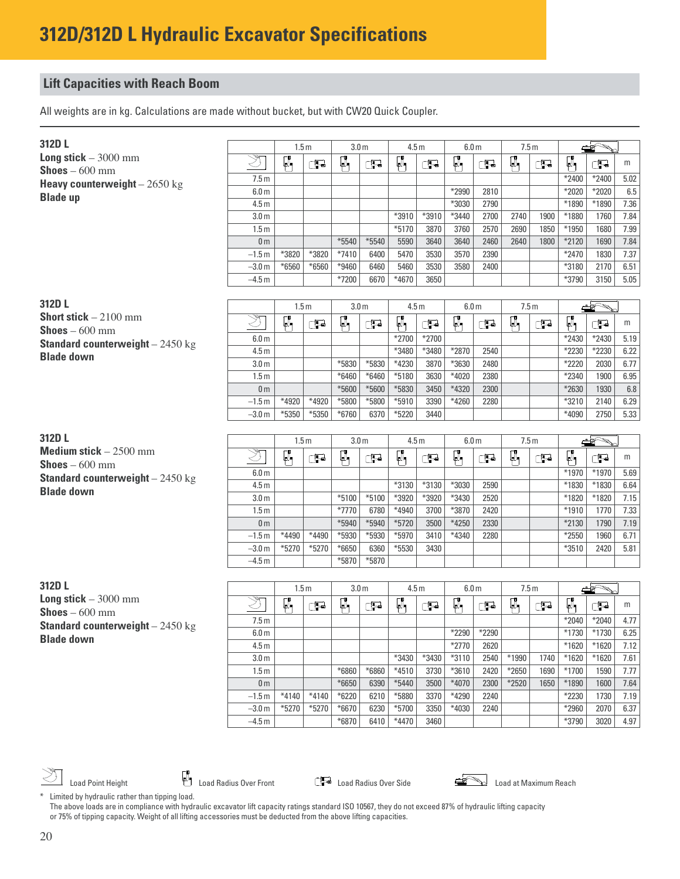All weights are in kg. Calculations are made without bucket, but with CW20 Quick Coupler.

| 312D L                                                        |                          | 1.5 <sub>m</sub> |         | 3.0 <sub>m</sub>   |              | 4.5 <sub>m</sub>   |              | 6.0 <sub>m</sub> |       | 7.5m    |      |                  |               |              |
|---------------------------------------------------------------|--------------------------|------------------|---------|--------------------|--------------|--------------------|--------------|------------------|-------|---------|------|------------------|---------------|--------------|
| <b>Long stick</b> $-3000$ mm                                  | Z                        | Ø,               | Œ       | Ø,                 | Œ            | Ø,                 | Œ            | Ø,               | Œ     | μ,      | Œ    | p.               | ුටු           | m            |
| <b>Shoes</b> $-600$ mm                                        | 7.5 <sub>m</sub>         |                  |         |                    |              |                    |              |                  |       |         |      | *2400            | *2400         | 5.02         |
| Heavy counterweight $-2650$ kg                                | 6.0 <sub>m</sub>         |                  |         |                    |              |                    |              | *2990            | 2810  |         |      | *2020            | *2020         | 6.5          |
| <b>Blade up</b>                                               | 4.5 <sub>m</sub>         |                  |         |                    |              |                    |              | *3030            | 2790  |         |      | *1890            | *1890         | 7.36         |
|                                                               | 3.0 <sub>m</sub>         |                  |         |                    |              | *3910              | *3910        | $*3440$          | 2700  | 2740    | 1900 | *1880            | 1760          | 7.84         |
|                                                               | 1.5 <sub>m</sub>         |                  |         |                    |              | $*5170$            | 3870         | 3760             | 2570  | 2690    | 1850 | *1950            | 1680          | 7.99         |
|                                                               | 0 <sub>m</sub>           |                  |         | $*5540$            | $*5540$      | 5590               | 3640         | 3640             | 2460  | 2640    | 1800 | *2120            | 1690          | 7.84         |
|                                                               | $-1.5m$                  | *3820            | *3820   | $*7410$            | 6400         | 5470               | 3530         | 3570             | 2390  |         |      | *2470            | 1830          | 7.37         |
|                                                               | $-3.0 m$                 | $*6560$          | $*6560$ | *9460              | 6460         | 5460               | 3530         | 3580             | 2400  |         |      | *3180            | 2170          | 6.51         |
|                                                               | $-4.5m$                  |                  |         | *7200              | 6670         | $*4670$            | 3650         |                  |       |         |      | *3790            | 3150          | 5.05         |
|                                                               |                          |                  |         |                    |              |                    |              |                  |       |         |      |                  |               |              |
| 312D L                                                        |                          | 1.5 <sub>m</sub> |         | 3.0 <sub>m</sub>   |              | 4.5 <sub>m</sub>   |              | 6.0 <sub>m</sub> |       | 7.5m    |      |                  |               |              |
| <b>Short stick</b> $-2100$ mm<br><b>Shoes</b> $-600$ mm       | Ž                        | Ø,               | Œ       | Ø,                 | Œ            | Ø,                 | Œ            | Ø,               | Œ     | μ,      | Œ    | ĻΝ,              | ුටු           | m            |
| <b>Standard counterweight</b> $-2450$ kg                      | 6.0 <sub>m</sub>         |                  |         |                    |              | *2700              | $*2700$      |                  |       |         |      | *2430            | *2430         | 5.19         |
| <b>Blade down</b>                                             | 4.5 <sub>m</sub>         |                  |         |                    |              | *3480              | *3480        | *2870            | 2540  |         |      | *2230            | *2230         | 6.22         |
|                                                               | 3.0 <sub>m</sub>         |                  |         | *5830              | *5830        | *4230              | 3870         | *3630            | 2480  |         |      | *2220            | 2030          | 6.77         |
|                                                               | 1.5 <sub>m</sub>         |                  |         | $*6460$            | $*6460$      | *5180              | 3630         | *4020            | 2380  |         |      | *2340            | 1900          | 6.95         |
|                                                               | 0 <sub>m</sub>           |                  |         | *5600              | *5600        | *5830              | 3450         | *4320            | 2300  |         |      | *2630            | 1930          | 6.8          |
|                                                               | $-1.5m$                  | *4920            | *4920   | *5800              | *5800        | $*5910$            | 3390         | *4260            | 2280  |         |      | *3210            | 2140          | 6.29         |
|                                                               | $-3.0m$                  | $*5350$          | *5350   | $*6760$            | 6370         | *5220              | 3440         |                  |       |         |      | *4090            | 2750          | 5.33         |
|                                                               |                          |                  |         |                    |              |                    |              |                  |       |         |      |                  |               |              |
|                                                               |                          |                  |         |                    |              |                    |              |                  |       |         |      |                  |               |              |
| 312D L                                                        |                          | 1.5 <sub>m</sub> |         | 3.0 <sub>m</sub>   |              | 4.5 <sub>m</sub>   |              | 6.0 <sub>m</sub> |       | 7.5m    |      |                  | $\rightarrow$ |              |
| Medium stick $-2500$ mm                                       | $\mathbb{Z}$             | $\mathbb{P}_1$   | Œ       | ŀ                  | Œ            | Ø,                 | Œ            | Ø,               | ුව    | ρ,      | Œ    | μ,               | Œ             | m            |
| <b>Shoes</b> $-600$ mm                                        | 6.0 <sub>m</sub>         |                  |         |                    |              |                    |              |                  |       |         |      | *1970            | *1970         | 5.69         |
| <b>Standard counterweight</b> $-2450$ kg<br><b>Blade down</b> | 4.5 <sub>m</sub>         |                  |         |                    |              | *3130              | $*3130$      | *3030            | 2590  |         |      | *1830            | *1830         | 6.64         |
|                                                               | 3.0 <sub>m</sub>         |                  |         | $*5100$            | $*5100$      | *3920              | *3920        | *3430            | 2520  |         |      | *1820            | *1820         | 7.15         |
|                                                               | 1.5 <sub>m</sub>         |                  |         | *7770              | 6780         | *4940              | 3700         | *3870            | 2420  |         |      | *1910            | 1770          | 7.33         |
|                                                               | 0 <sub>m</sub>           |                  |         | $*5940$            | $*5940$      | $*5720$            | 3500         | *4250            | 2330  |         |      | *2130            | 1790          | 7.19         |
|                                                               | $-1.5m$                  | *4490            | *4490   | *5930              | *5930        | *5970              | 3410         | *4340            | 2280  |         |      | *2550            | 1960          | 6.71         |
|                                                               | $-3.0 m$                 | $*5270$          | $*5270$ | *6650              | 6360         | *5530              | 3430         |                  |       |         |      | *3510            | 2420          | 5.81         |
|                                                               | $-4.5m$                  |                  |         | *5870              | *5870        |                    |              |                  |       |         |      |                  |               |              |
| 312D L                                                        |                          | 1.5 <sub>m</sub> |         | 3.0 <sub>m</sub>   |              | 4.5 <sub>m</sub>   |              | 6.0 <sub>m</sub> |       | 7.5m    |      |                  |               |              |
| Long stick $-3000$ mm                                         | $\overline{\mathcal{Z}}$ |                  | Œ       |                    | Œ            |                    | Œ            |                  | ුව    |         | Œ    |                  | Œ             | m            |
| <b>Shoes</b> $-600$ mm                                        | 7.5 <sub>m</sub>         | ρ,               |         | Ø,                 |              | μ,                 |              | $\mathbb{R}_1$   |       | μ,      |      | Ø,<br>$*2040$    | $*2040$       | 4.77         |
| <b>Standard counterweight</b> $- 2450$ kg                     | 6.0 <sub>m</sub>         |                  |         |                    |              |                    |              | $*2290$          | *2290 |         |      | *1730            | $*1730$       |              |
| <b>Blade down</b>                                             | 4.5 <sub>m</sub>         |                  |         |                    |              |                    |              | $*2770$          | 2620  |         |      | *1620            | $*1620$       | 6.25<br>7.12 |
|                                                               | 3.0 <sub>m</sub>         |                  |         |                    |              | $*3430$            | *3430        | $*3110$          | 2540  | *1990   | 1740 | $*1620$          | $*1620$       | 7.61         |
|                                                               | 1.5 <sub>m</sub>         |                  |         | *6860              | *6860        | $*4510$            | 3730         | *3610            | 2420  | $*2650$ | 1690 | $*1700$          | 1590          | 7.77         |
|                                                               | 0 <sub>m</sub>           |                  |         | $*6650$            | 6390         | $*5440$            | 3500         | *4070            | 2300  | $*2520$ | 1650 | *1890            | 1600          | 7.64         |
|                                                               | $-1.5m$                  | $*4140$          | $*4140$ | $*6220$            | 6210         | *5880              | 3370         | *4290            | 2240  |         |      | *2230            | 1730          | 7.19         |
|                                                               | $-3.0 m$<br>$-4.5m$      | $*5270$          | $*5270$ | $*6670$<br>$*6870$ | 6230<br>6410 | $*5700$<br>$*4470$ | 3350<br>3460 | *4030            | 2240  |         |      | *2960<br>$*3790$ | 2070<br>3020  | 6.37<br>4.97 |

Load Point Height **Load Action** Load Radius Over Front **Load Radius Over Side** Load **Commung Reach** Load at Maximum Reach



\* Limited by hydraulic rather than tipping load.

The above loads are in compliance with hydraulic excavator lift capacity ratings standard ISO 10567, they do not exceed 87% of hydraulic lifting capacity or 75% of tipping capacity. Weight of all lifting accessories must be deducted from the above lifting capacities.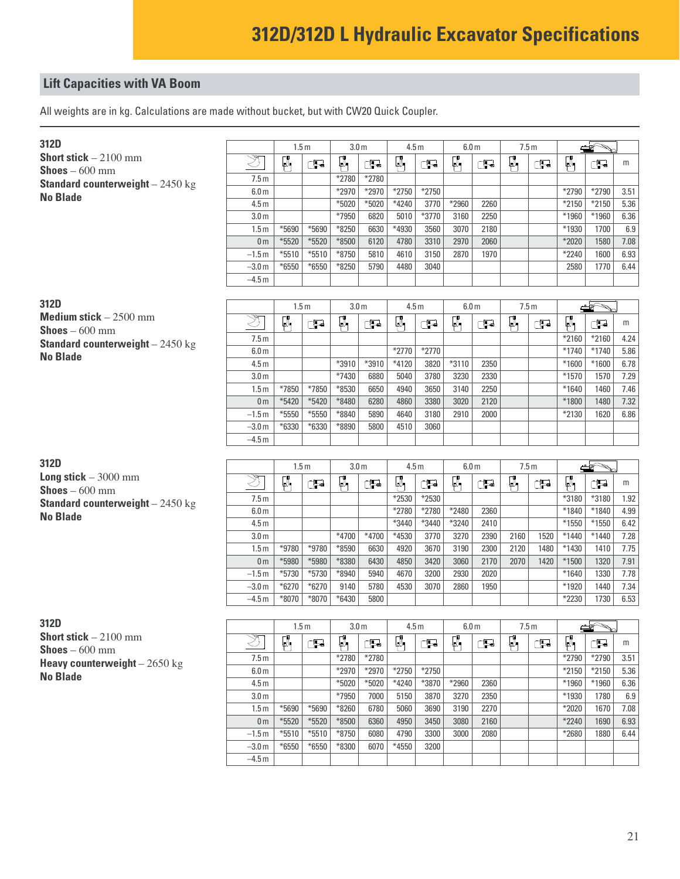All weights are in kg. Calculations are made without bucket, but with CW20 Quick Coupler.

| 312D                                                    |                  | 1.5 <sub>m</sub> |         | 3.0 <sub>m</sub> |       | 4.5 <sub>m</sub> |         | 6.0 <sub>m</sub> |      |    | 7.5 <sub>m</sub> |         |         |      |
|---------------------------------------------------------|------------------|------------------|---------|------------------|-------|------------------|---------|------------------|------|----|------------------|---------|---------|------|
| <b>Short stick</b> $-2100$ mm<br><b>Shoes</b> $-600$ mm | Ž                | μ,               | ුටු     | μ.               | Œ     | μ,               | Œ       | μ,               | Œ    | ρ, | Œ                | ₽.      | Œ       | m    |
| <b>Standard counterweight</b> $-2450$ kg                | 7.5m             |                  |         | *2780            | *2780 |                  |         |                  |      |    |                  |         |         |      |
| <b>No Blade</b>                                         | 6.0 <sub>m</sub> |                  |         | *2970            | *2970 | $*2750$          | $*2750$ |                  |      |    |                  | $*2790$ | $*2790$ | 3.51 |
|                                                         | 4.5 <sub>m</sub> |                  |         | $*5020$          | *5020 | $*4240$          | 3770    | $*2960$          | 2260 |    |                  | $*2150$ | $*2150$ | 5.36 |
|                                                         | 3.0 <sub>m</sub> |                  |         | *7950            | 6820  | 5010             | *3770   | 3160             | 2250 |    |                  | *1960   | *1960   | 6.36 |
|                                                         | 1.5 <sub>m</sub> | *5690            | *5690   | $*8250$          | 6630  | *4930            | 3560    | 3070             | 2180 |    |                  | *1930   | 1700    | 6.9  |
|                                                         | 0 <sub>m</sub>   | $*5520$          | *5520   | $*8500$          | 6120  | 4780             | 3310    | 2970             | 2060 |    |                  | $*2020$ | 1580    | 7.08 |
|                                                         | $-1.5 m$         | $*5510$          | $*5510$ | $*8750$          | 5810  | 4610             | 3150    | 2870             | 1970 |    |                  | $*2240$ | 1600    | 6.93 |
|                                                         | $-3.0 m$         | $*6550$          | $*6550$ | $*8250$          | 5790  | 4480             | 3040    |                  |      |    |                  | 2580    | 1770    | 6.44 |
|                                                         | $-4.5 m$         |                  |         |                  |       |                  |         |                  |      |    |                  |         |         |      |
|                                                         |                  |                  |         |                  |       |                  |         |                  |      |    |                  |         |         |      |
|                                                         |                  |                  |         |                  |       |                  |         |                  |      |    |                  |         |         |      |
| 312D                                                    |                  | 1.5 <sub>m</sub> |         | 3.0 <sub>m</sub> |       | 4.5 <sub>m</sub> |         | 6.0 <sub>m</sub> |      |    | 7.5m             |         |         |      |
| Medium stick $-2500$ mm                                 | Ž                | μ,               | æ       | μ.               | ුටු   | ŗ.               | Œ       | μ,               | Œ    | Ø, | Œ                | ₽.      | Œ       | m    |
| <b>Shoes</b> $-600$ mm                                  | 7.5m             |                  |         |                  |       |                  |         |                  |      |    |                  | $*2160$ | $*2160$ | 4.24 |
| <b>Standard counterweight</b> $-2450$ kg                | 6.0 <sub>m</sub> |                  |         |                  |       | $*2770$          | $*2770$ |                  |      |    |                  | $*1740$ | $*1740$ | 5.86 |
| <b>No Blade</b>                                         | 4.5 <sub>m</sub> |                  |         | *3910            | *3910 | $*4120$          | 3820    | $*3110$          | 2350 |    |                  | $*1600$ | $*1600$ | 6.78 |
|                                                         | 3.0 <sub>m</sub> |                  |         | $*7430$          | 6880  | 5040             | 3780    | 3230             | 2330 |    |                  | $*1570$ | 1570    | 7.29 |
|                                                         | 1.5 <sub>m</sub> | $*7850$          | *7850   | *8530            | 6650  | 4940             | 3650    | 3140             | 2250 |    |                  | $*1640$ | 1460    | 7.46 |
|                                                         | 0 <sub>m</sub>   | $*5420$          | *5420   | *8480            | 6280  | 4860             | 3380    | 3020             | 2120 |    |                  | $*1800$ | 1480    | 7.32 |
|                                                         | $-1.5m$          | *5550            | *5550   | *8840            | 5890  | 4640             | 3180    | 2910             | 2000 |    |                  | *2130   | 1620    | 6.86 |
|                                                         | $-3.0 m$         | $*6330$          | *6330   | *8890            | 5800  | 4510             | 3060    |                  |      |    |                  |         |         |      |

| 312D                                     |
|------------------------------------------|
| <b>Long stick</b> $-3000$ mm             |
| <b>Shoes</b> – 600 mm                    |
| <b>Standard counterweight</b> $-2450$ kg |
| <b>No Blade</b>                          |

**312D Short stick** – 2100 mm **Shoes** – 600 mm **Heavy counterweight** - 2650 kg **No Blade**

|                  |         | 1.5 <sub>m</sub> | 3.0 <sub>m</sub> |       | 4.5 <sub>m</sub> |         | 6.0 <sub>m</sub> |      | 7.5 <sub>m</sub> |      | æ       | ≧       |      |
|------------------|---------|------------------|------------------|-------|------------------|---------|------------------|------|------------------|------|---------|---------|------|
| উদ               | α.      | t.               | J,               | Ţ.    | μ.               | j,      | Q.               | F    | Ø,               | Ţ.   | 顶       | Œ       | m    |
| 7.5 <sub>m</sub> |         |                  |                  |       | *2530            | $*2530$ |                  |      |                  |      | *3180   | *3180   | 1.92 |
| 6.0 <sub>m</sub> |         |                  |                  |       | *2780            | *2780   | *2480            | 2360 |                  |      | *1840   | *1840   | 4.99 |
| 4.5 <sub>m</sub> |         |                  |                  |       | *3440            | *3440   | *3240            | 2410 |                  |      | *1550   | *1550   | 6.42 |
| 3.0 <sub>m</sub> |         |                  | $*4700$          | *4700 | *4530            | 3770    | 3270             | 2390 | 2160             | 1520 | $*1440$ | $*1440$ | 7.28 |
| 1.5 <sub>m</sub> | *9780   | *9780            | $*8590$          | 6630  | 4920             | 3670    | 3190             | 2300 | 2120             | 1480 | *1430   | 1410    | 7.75 |
| 0 <sub>m</sub>   | *5980   | *5980            | $*8380$          | 6430  | 4850             | 3420    | 3060             | 2170 | 2070             | 1420 | $*1500$ | 1320    | 7.91 |
| $-1.5m$          | $*5730$ | $*5730$          | $*8940$          | 5940  | 4670             | 3200    | 2930             | 2020 |                  |      | $*1640$ | 1330    | 7.78 |
| $-3.0 m$         | $*6270$ | $*6270$          | 9140             | 5780  | 4530             | 3070    | 2860             | 1950 |                  |      | *1920   | 1440    | 7.34 |
| $-4.5 m$         | $*8070$ | $*8070$          | $*6430$          | 5800  |                  |         |                  |      |                  |      | *2230   | 1730    | 6.53 |

|                  |         | 1.5 <sub>m</sub> |         | 3.0 <sub>m</sub> |         | 4.5 <sub>m</sub> |         | 6.0 <sub>m</sub> |    | 7.5 <sub>m</sub> |         |         |      |
|------------------|---------|------------------|---------|------------------|---------|------------------|---------|------------------|----|------------------|---------|---------|------|
| উব               | Q.      | Ŧ                | Q.      | F                | Q.      | Ţ                | Q.      | ے۔               | Ø, | යු               | ЩW      | Ţ       | m    |
| 7.5m             |         |                  | *2780   | $*2780$          |         |                  |         |                  |    |                  | $*2790$ | *2790   | 3.51 |
| 6.0 <sub>m</sub> |         |                  | $*2970$ | $*2970$          | $*2750$ | $*2750$          |         |                  |    |                  | $*2150$ | $*2150$ | 5.36 |
| 4.5 <sub>m</sub> |         |                  | $*5020$ | $*5020$          | $*4240$ | *3870            | $*2960$ | 2360             |    |                  | $*1960$ | *1960   | 6.36 |
| 3.0 <sub>m</sub> |         |                  | *7950   | 7000             | 5150    | 3870             | 3270    | 2350             |    |                  | *1930   | 1780    | 6.9  |
| 1.5 <sub>m</sub> | $*5690$ | $*5690$          | $*8260$ | 6780             | 5060    | 3690             | 3190    | 2270             |    |                  | $*2020$ | 1670    | 7.08 |
| 0 <sub>m</sub>   | $*5520$ | $*5520$          | $*8500$ | 6360             | 4950    | 3450             | 3080    | 2160             |    |                  | $*2240$ | 1690    | 6.93 |
| $-1.5m$          | $*5510$ | $*5510$          | $*8750$ | 6080             | 4790    | 3300             | 3000    | 2080             |    |                  | *2680   | 1880    | 6.44 |
| $-3.0 m$         | $*6550$ | $*6550$          | $*8300$ | 6070             | $*4550$ | 3200             |         |                  |    |                  |         |         |      |
| $-4.5 m$         |         |                  |         |                  |         |                  |         |                  |    |                  |         |         |      |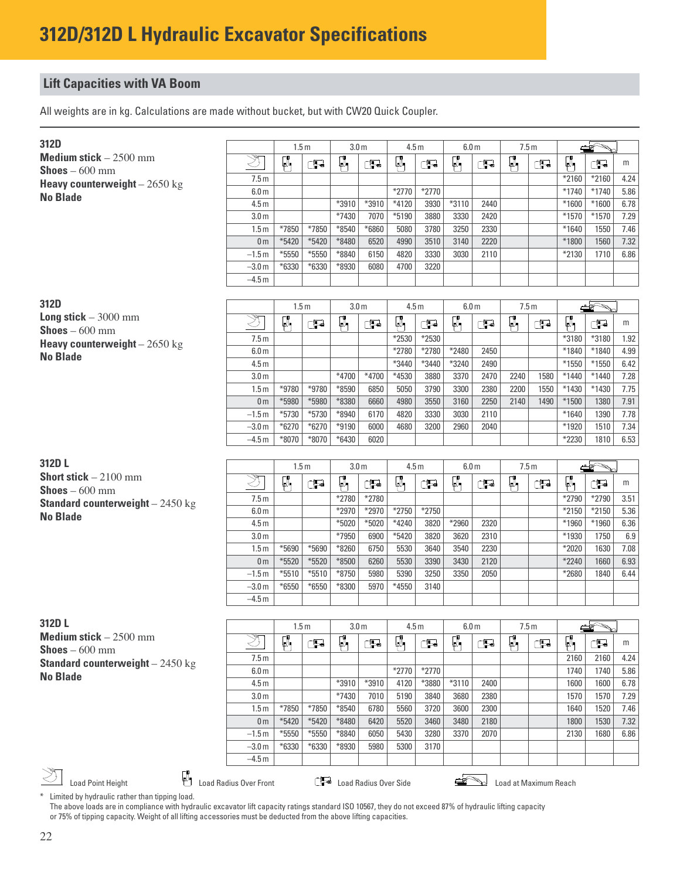All weights are in kg. Calculations are made without bucket, but with CW20 Quick Coupler.

| 312D                                              |                  | 1.5 <sub>m</sub> |         | 3.0 <sub>m</sub> |         | 4.5 <sub>m</sub> |         | 6.0 <sub>m</sub> |      | 7.5m |      |            |                                                                                                                                                                                                                                |      |
|---------------------------------------------------|------------------|------------------|---------|------------------|---------|------------------|---------|------------------|------|------|------|------------|--------------------------------------------------------------------------------------------------------------------------------------------------------------------------------------------------------------------------------|------|
| Medium stick $-2500$ mm<br><b>Shoes</b> $-600$ mm | Ž                | μ,               | F       | μ.               | æ       | μ.               | Œ       | μ,               | Œ    | μ,   | Œ    | μ,         | æ                                                                                                                                                                                                                              | m    |
| <b>Heavy counterweight</b> $- 2650 \text{ kg}$    | 7.5 <sub>m</sub> |                  |         |                  |         |                  |         |                  |      |      |      | $*2160$    | $*2160$                                                                                                                                                                                                                        | 4.24 |
| <b>No Blade</b>                                   | 6.0 <sub>m</sub> |                  |         |                  |         | $*2770$          | $*2770$ |                  |      |      |      | $*1740$    | $*1740$                                                                                                                                                                                                                        | 5.86 |
|                                                   | 4.5 <sub>m</sub> |                  |         | *3910            | *3910   | $*4120$          | 3930    | $*3110$          | 2440 |      |      | $*1600$    | $*1600$                                                                                                                                                                                                                        | 6.78 |
|                                                   | 3.0 <sub>m</sub> |                  |         | $*7430$          | 7070    | $*5190$          | 3880    | 3330             | 2420 |      |      | $*1570$    | $*1570$                                                                                                                                                                                                                        | 7.29 |
|                                                   | 1.5 <sub>m</sub> | *7850            | *7850   | $*8540$          | $*6860$ | 5080             | 3780    | 3250             | 2330 |      |      | $*1640$    | 1550                                                                                                                                                                                                                           | 7.46 |
|                                                   | 0 <sub>m</sub>   | $*5420$          | $*5420$ | *8480            | 6520    | 4990             | 3510    | 3140             | 2220 |      |      | *1800      | 1560                                                                                                                                                                                                                           | 7.32 |
|                                                   | $-1.5m$          | *5550            | $*5550$ | *8840            | 6150    | 4820             | 3330    | 3030             | 2110 |      |      | $*2130$    | 1710                                                                                                                                                                                                                           | 6.86 |
|                                                   | $-3.0 m$         | $*6330$          | $*6330$ | $*8930$          | 6080    | 4700             | 3220    |                  |      |      |      |            |                                                                                                                                                                                                                                |      |
|                                                   | $-4.5m$          |                  |         |                  |         |                  |         |                  |      |      |      |            |                                                                                                                                                                                                                                |      |
|                                                   |                  |                  |         |                  |         |                  |         |                  |      |      |      |            |                                                                                                                                                                                                                                |      |
|                                                   |                  |                  |         |                  |         |                  |         |                  |      |      |      |            |                                                                                                                                                                                                                                |      |
| 312D                                              |                  | 1.5 <sub>m</sub> |         | 3.0 <sub>m</sub> |         | 4.5 <sub>m</sub> |         | 6.0 <sub>m</sub> |      | 7.5m |      |            | and the second second second and second the second second in the second second second second and second second in the second second second second second second second second second second second second second second second |      |
| <b>Long stick</b> $-3000$ mm                      | Ž                | μ,               | F       | μ.               | æ       | μ,               | Œ       | μ                | Œ    | μ,   | Œ    | $\sqrt{2}$ | æ                                                                                                                                                                                                                              | m    |
| <b>Shoes</b> $-600$ mm                            | 7.5m             |                  |         |                  |         | *2530            | *2530   |                  |      |      |      | *3180      | *3180                                                                                                                                                                                                                          | 1.92 |
| Heavy counterweight $-2650$ kg                    | 6.0 <sub>m</sub> |                  |         |                  |         | *2780            | *2780   | *2480            | 2450 |      |      | $*1840$    | *1840                                                                                                                                                                                                                          | 4.99 |
| <b>No Blade</b>                                   | 4.5 <sub>m</sub> |                  |         |                  |         | *3440            | *3440   | *3240            | 2490 |      |      | $*1550$    | $*1550$                                                                                                                                                                                                                        | 6.42 |
|                                                   | 3.0 <sub>m</sub> |                  |         | $*4700$          | $*4700$ | *4530            | 3880    | 3370             | 2470 | 2240 | 1580 | $*1440$    | $*1440$                                                                                                                                                                                                                        | 7.28 |
|                                                   | 1.5 <sub>m</sub> | *9780            | *9780   | *8590            | 6850    | 5050             | 3790    | 3300             | 2380 | 2200 | 1550 | $*1430$    | $*1430$                                                                                                                                                                                                                        | 7.75 |
|                                                   | 0 <sub>m</sub>   | *5980            | *5980   | *8380            | 6660    | 4980             | 3550    | 3160             | 2250 | 2140 | 1490 | $*1500$    | 1380                                                                                                                                                                                                                           | 7.91 |
|                                                   | $-1.5m$          | $*5730$          | *5730   | *8940            | 6170    | 4820             | 3330    | 3030             | 2110 |      |      | $*1640$    | 1390                                                                                                                                                                                                                           | 7.78 |
|                                                   | $-3.0 m$         | $*6270$          | $*6270$ | *9190            | 6000    | 4680             | 3200    | 2960             | 2040 |      |      | $*1920$    | 1510                                                                                                                                                                                                                           | 7.34 |
|                                                   | $-4.5 m$         | $*8070$          | *8070   | $*6430$          | 6020    |                  |         |                  |      |      |      | $*2230$    | 1810                                                                                                                                                                                                                           | 6.53 |
|                                                   |                  |                  |         |                  |         |                  |         |                  |      |      |      |            |                                                                                                                                                                                                                                |      |

| 31ZD L                                   |  |
|------------------------------------------|--|
| <b>Short stick</b> $-2100$ mm            |  |
| <b>Shoes</b> $-600$ mm                   |  |
| <b>Standard counterweight</b> $-2450$ kg |  |
| <b>No Blade</b>                          |  |

|                  | 1.5 <sub>m</sub> |         | 3.0 <sub>m</sub> |         | 4.5 <sub>m</sub> |         | 6.0 <sub>m</sub> |      |    | 7.5m |         |         |      |
|------------------|------------------|---------|------------------|---------|------------------|---------|------------------|------|----|------|---------|---------|------|
| ঙ্গ              | ρ,               | F       | Ø.               | F       | μ,               | F       | p.               | Ţ.   | Ø, | P    | Q.      | Ţ       | m    |
| 7.5 <sub>m</sub> |                  |         | *2780            | *2780   |                  |         |                  |      |    |      | $*2790$ | $*2790$ | 3.51 |
| 6.0 <sub>m</sub> |                  |         | $*2970$          | $*2970$ | $*2750$          | $*2750$ |                  |      |    |      | $*2150$ | $*2150$ | 5.36 |
| 4.5 <sub>m</sub> |                  |         | $*5020$          | $*5020$ | $*4240$          | 3820    | $*2960$          | 2320 |    |      | *1960   | *1960   | 6.36 |
| 3.0 <sub>m</sub> |                  |         | $*7950$          | 6900    | $*5420$          | 3820    | 3620             | 2310 |    |      | *1930   | 1750    | 6.9  |
| 1.5 <sub>m</sub> | $*5690$          | $*5690$ | $*8260$          | 6750    | 5530             | 3640    | 3540             | 2230 |    |      | $*2020$ | 1630    | 7.08 |
| 0 <sub>m</sub>   | $*5520$          | $*5520$ | $*8500$          | 6260    | 5530             | 3390    | 3430             | 2120 |    |      | $*2240$ | 1660    | 6.93 |
| $-1.5m$          | $*5510$          | $*5510$ | $*8750$          | 5980    | 5390             | 3250    | 3350             | 2050 |    |      | *2680   | 1840    | 6.44 |
| $-3.0m$          | $*6550$          | $*6550$ | $*8300$          | 5970    | $*4550$          | 3140    |                  |      |    |      |         |         |      |
| $-4.5 m$         |                  |         |                  |         |                  |         |                  |      |    |      |         |         |      |

| 312D L                                   |
|------------------------------------------|
| <b>Medium stick</b> $-2500$ mm           |
| <b>Shoes</b> $-600$ mm                   |
| <b>Standard counterweight</b> $-2450$ kg |
| No Blade                                 |

|                                              |                               |         | 1.5m    | 3.0 <sub>m</sub> |                       | 4.5 <sub>m</sub> |         | 6.0 <sub>m</sub> |      | 7.5 <sub>m</sub> |                       |      |      |      |
|----------------------------------------------|-------------------------------|---------|---------|------------------|-----------------------|------------------|---------|------------------|------|------------------|-----------------------|------|------|------|
| ım stick – $2500\ \mathrm{mm}$<br>: – 600 mm | ঔং                            | والما   | ුටු     | w                | T                     | Щ.               | t.      | U.               | Ŧ    | ΨM               | Œ                     | U,   | P    | m    |
| ard counterweight $-2450 \text{ kg}$         | 7.5 <sub>m</sub>              |         |         |                  |                       |                  |         |                  |      |                  |                       | 2160 | 2160 | 4.24 |
| ade                                          | 6.0 <sub>m</sub>              |         |         |                  |                       | $*2770$          | $*2770$ |                  |      |                  |                       | 1740 | 1740 | 5.86 |
|                                              | 4.5 <sub>m</sub>              |         |         | *3910            | *3910                 | 4120             | *3880   | $*3110$          | 2400 |                  |                       | 1600 | 1600 | 6.78 |
|                                              | 3.0 <sub>m</sub>              |         |         | $*7430$          | 7010                  | 5190             | 3840    | 3680             | 2380 |                  |                       | 1570 | 1570 | 7.29 |
|                                              | 1.5 <sub>m</sub>              | *7850   | *7850   | $*8540$          | 6780                  | 5560             | 3720    | 3600             | 2300 |                  |                       | 1640 | 1520 | 7.46 |
|                                              | 0 <sub>m</sub>                | $*5420$ | $*5420$ | *8480            | 6420                  | 5520             | 3460    | 3480             | 2180 |                  |                       | 1800 | 1530 | 7.32 |
|                                              | $-1.5m$                       | $*5550$ | $*5550$ | $*8840$          | 6050                  | 5430             | 3280    | 3370             | 2070 |                  |                       | 2130 | 1680 | 6.86 |
|                                              | $-3.0 m$                      | $*6330$ | $*6330$ | *8930            | 5980                  | 5300             | 3170    |                  |      |                  |                       |      |      |      |
|                                              | $-4.5 m$                      |         |         |                  |                       |                  |         |                  |      |                  |                       |      |      |      |
| ۳۳<br><b>Load Point Height</b>               | <b>Load Radius Over Front</b> |         | ᄓᅻᆋ     |                  | Load Radius Over Side |                  |         |                  |      |                  | Load at Maximum Reach |      |      |      |

\* Limited by hydraulic rather than tipping load.

The above loads are in compliance with hydraulic excavator lift capacity ratings standard ISO 10567, they do not exceed 87% of hydraulic lifting capacity or 75% of tipping capacity. Weight of all lifting accessories must be deducted from the above lifting capacities.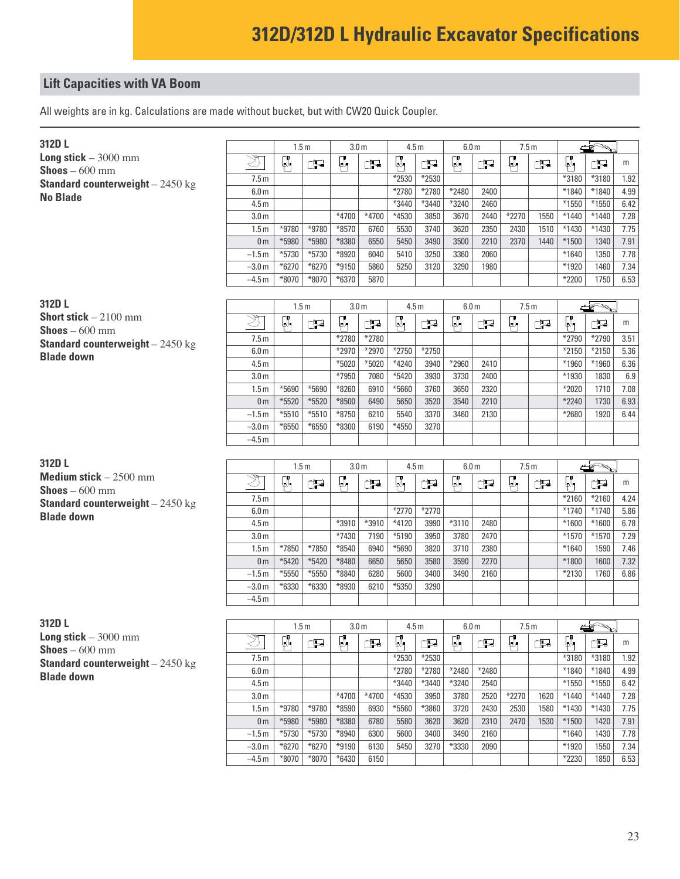All weights are in kg. Calculations are made without bucket, but with CW20 Quick Coupler.

| 312D L                                                  |                  | 1.5 <sub>m</sub> |         | 3.0 <sub>m</sub> |         | 4.5 <sub>m</sub> |         | 6.0 <sub>m</sub> |      | 7.5m  |      |         |         |      |
|---------------------------------------------------------|------------------|------------------|---------|------------------|---------|------------------|---------|------------------|------|-------|------|---------|---------|------|
| <b>Long stick</b> $-3000$ mm<br><b>Shoes</b> $-600$ mm  |                  | μ,               | ුටු     | Ø,               | ුතු     | Ø,               | Œ       | μ,               | Œ    | μ,    | ුව   | ρ,      | Œ       | m    |
| <b>Standard counterweight</b> $-2450$ kg                | 7.5 <sub>m</sub> |                  |         |                  |         | *2530            | *2530   |                  |      |       |      | *3180   | *3180   | 1.92 |
| <b>No Blade</b>                                         | 6.0 <sub>m</sub> |                  |         |                  |         | *2780            | *2780   | *2480            | 2400 |       |      | $*1840$ | *1840   | 4.99 |
|                                                         | 4.5 <sub>m</sub> |                  |         |                  |         | *3440            | *3440   | *3240            | 2460 |       |      | $*1550$ | $*1550$ | 6.42 |
|                                                         | 3.0 <sub>m</sub> |                  |         | $*4700$          | $*4700$ | *4530            | 3850    | 3670             | 2440 | *2270 | 1550 | $*1440$ | $*1440$ | 7.28 |
|                                                         | 1.5 <sub>m</sub> | *9780            | *9780   | $*8570$          | 6760    | 5530             | 3740    | 3620             | 2350 | 2430  | 1510 | $*1430$ | $*1430$ | 7.75 |
|                                                         | 0 <sub>m</sub>   | *5980            | *5980   | *8380            | 6550    | 5450             | 3490    | 3500             | 2210 | 2370  | 1440 | $*1500$ | 1340    | 7.91 |
|                                                         | $-1.5 m$         | $*5730$          | $*5730$ | $*8920$          | 6040    | 5410             | 3250    | 3360             | 2060 |       |      | $*1640$ | 1350    | 7.78 |
|                                                         | $-3.0 m$         | $*6270$          | $*6270$ | $*9150$          | 5860    | 5250             | 3120    | 3290             | 1980 |       |      | $*1920$ | 1460    | 7.34 |
|                                                         | $-4.5 m$         | $*8070$          | $*8070$ | $*6370$          | 5870    |                  |         |                  |      |       |      | $*2200$ | 1750    | 6.53 |
|                                                         |                  |                  |         |                  |         |                  |         |                  |      |       |      |         |         |      |
| 312D L                                                  |                  | 1.5 <sub>m</sub> |         | 3.0 <sub>m</sub> |         | 4.5 <sub>m</sub> |         | 6.0 <sub>m</sub> |      | 7.5m  |      |         |         |      |
| <b>Short stick</b> $-2100$ mm<br><b>Shoes</b> $-600$ mm |                  | μ,               | Œ       | Ţ.               | ුව      | μ,               | ුව      | μ,               | 尹    | Ø,    | Œ    | μ       | Œ       | m    |
| <b>Standard counterweight</b> $-2450$ kg                | 7.5m             |                  |         | *2780            | *2780   |                  |         |                  |      |       |      | *2790   | *2790   | 3.51 |
| <b>Blade down</b>                                       | 6.0 <sub>m</sub> |                  |         | *2970            | *2970   | $*2750$          | $*2750$ |                  |      |       |      | $*2150$ | $*2150$ | 5.36 |
|                                                         | 4.5 <sub>m</sub> |                  |         | *5020            | $*5020$ | *4240            | 3940    | *2960            | 2410 |       |      | *1960   | *1960   | 6.36 |
|                                                         | 3.0 <sub>m</sub> |                  |         | *7950            | 7080    | $*5420$          | 3930    | 3730             | 2400 |       |      | *1930   | 1830    | 6.9  |
|                                                         | 1.5 <sub>m</sub> | $*5690$          | $*5690$ | $*8260$          | 6910    | *5660            | 3760    | 3650             | 2320 |       |      | $*2020$ | 1710    | 7.08 |
|                                                         | 0 <sub>m</sub>   | $*5520$          | *5520   | $*8500$          | 6490    | 5650             | 3520    | 3540             | 2210 |       |      | $*2240$ | 1730    | 6.93 |
|                                                         | $-1.5m$          | $*5510$          | $*5510$ | *8750            | 6210    | 5540             | 3370    | 3460             | 2130 |       |      | *2680   | 1920    | 6.44 |
|                                                         | $-3.0 m$         | $*6550$          | $*6550$ | $*8300$          | 6190    | *4550            | 3270    |                  |      |       |      |         |         |      |
|                                                         | $-4.5 m$         |                  |         |                  |         |                  |         |                  |      |       |      |         |         |      |

| 312D L                                   |
|------------------------------------------|
| <b>Medium stick</b> $-2500$ mm           |
| <b>Shoes</b> – 600 mm                    |
| <b>Standard counterweight</b> $-2450$ kg |
| <b>Blade down</b>                        |

| 312D L                                   |
|------------------------------------------|
| <b>Long stick</b> $-3000$ mm             |
| <b>Shoes</b> $-600$ mm                   |
| <b>Standard counterweight</b> $-2450$ kg |
| <b>Blade down</b>                        |

|                  | 1.5 <sub>m</sub> |         | 3.0 <sub>m</sub> |       | 4.5 <sub>m</sub> |         | 6.0 <sub>m</sub> |      | 7.5m |   |         |         |      |
|------------------|------------------|---------|------------------|-------|------------------|---------|------------------|------|------|---|---------|---------|------|
| 'স্ক্রি          | Q.               | Ţ       | Œ.               | æ     | Q.               | æ       | μ,               | Ţ.   | μ,   | æ | Ø,      | Œ       | m    |
| 7.5 <sub>m</sub> |                  |         |                  |       |                  |         |                  |      |      |   | $*2160$ | $*2160$ | 4.24 |
| 6.0 <sub>m</sub> |                  |         |                  |       | $*2770$          | $*2770$ |                  |      |      |   | $*1740$ | $*1740$ | 5.86 |
| 4.5 <sub>m</sub> |                  |         | *3910            | *3910 | $*4120$          | 3990    | $*3110$          | 2480 |      |   | $*1600$ | $*1600$ | 6.78 |
| 3.0 <sub>m</sub> |                  |         | $*7430$          | 7190  | $*5190$          | 3950    | 3780             | 2470 |      |   | $*1570$ | $*1570$ | 7.29 |
| 1.5 <sub>m</sub> | $*7850$          | $*7850$ | $*8540$          | 6940  | *5690            | 3820    | 3710             | 2380 |      |   | $*1640$ | 1590    | 7.46 |
| 0 <sub>m</sub>   | $*5420$          | $*5420$ | $*8480$          | 6650  | 5650             | 3580    | 3590             | 2270 |      |   | *1800   | 1600    | 7.32 |
| $-1.5 m$         | $*5550$          | $*5550$ | $*8840$          | 6280  | 5600             | 3400    | 3490             | 2160 |      |   | *2130   | 1760    | 6.86 |
| $-3.0 m$         | $*6330$          | $*6330$ | $*8930$          | 6210  | *5350            | 3290    |                  |      |      |   |         |         |      |
| $-4.5 m$         |                  |         |                  |       |                  |         |                  |      |      |   |         |         |      |

|                  | 1.5 <sub>m</sub> |         |         | 3.0 <sub>m</sub> |         | 4.5 <sub>m</sub> | 6.0 <sub>m</sub> |       | 7.5m    |      |          |         |      |
|------------------|------------------|---------|---------|------------------|---------|------------------|------------------|-------|---------|------|----------|---------|------|
| উদ               | Q.               | t.      | J.      | Ţ                | Ø.      | Ţ.               | Ø.               | Ŧ     | μ,      | Œ    | ገዋ<br>щV | æ       | m    |
| 7.5m             |                  |         |         |                  | *2530   | $*2530$          |                  |       |         |      | *3180    | *3180   | 1.92 |
| 6.0 <sub>m</sub> |                  |         |         |                  | $*2780$ | $*2780$          | *2480            | *2480 |         |      | $*1840$  | *1840   | 4.99 |
| 4.5 <sub>m</sub> |                  |         |         |                  | $*3440$ | *3440            | *3240            | 2540  |         |      | $*1550$  | $*1550$ | 6.42 |
| 3.0 <sub>m</sub> |                  |         | $*4700$ | $*4700$          | *4530   | 3950             | 3780             | 2520  | $*2270$ | 1620 | $*1440$  | $*1440$ | 7.28 |
| 1.5 <sub>m</sub> | *9780            | *9780   | $*8590$ | 6930             | $*5560$ | $*3860$          | 3720             | 2430  | 2530    | 1580 | *1430    | $*1430$ | 7.75 |
| 0 <sub>m</sub>   | *5980            | *5980   | *8380   | 6780             | 5580    | 3620             | 3620             | 2310  | 2470    | 1530 | $*1500$  | 1420    | 7.91 |
| $-1.5m$          | $*5730$          | $*5730$ | $*8940$ | 6300             | 5600    | 3400             | 3490             | 2160  |         |      | $*1640$  | 1430    | 7.78 |
| $-3.0 m$         | $*6270$          | $*6270$ | $*9190$ | 6130             | 5450    | 3270             | *3330            | 2090  |         |      | $*1920$  | 1550    | 7.34 |
| $-4.5 m$         | $*8070$          | $*8070$ | $*6430$ | 6150             |         |                  |                  |       |         |      | *2230    | 1850    | 6.53 |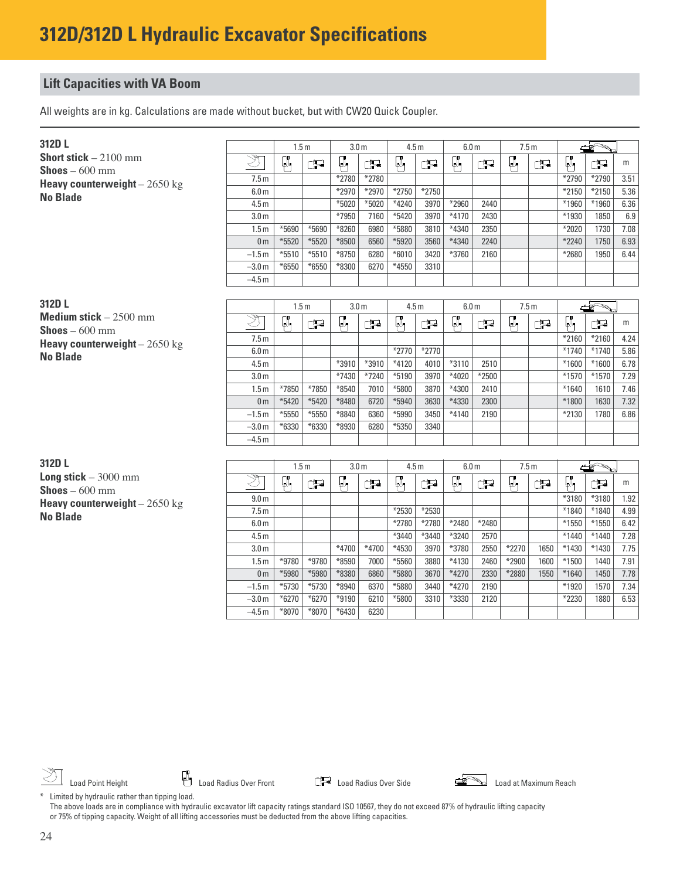All weights are in kg. Calculations are made without bucket, but with CW20 Quick Coupler.

| 312D L                                                  |                  |         | 1.5m    | 3.0 <sub>m</sub> |         | 4.5 <sub>m</sub> |         | 6.0 <sub>m</sub> |              |    | 7.5m |         |         |      |
|---------------------------------------------------------|------------------|---------|---------|------------------|---------|------------------|---------|------------------|--------------|----|------|---------|---------|------|
| <b>Short stick</b> $-2100$ mm<br><b>Shoes</b> $-600$ mm | উব               | α.      | Œ       | Ψ,               | P       |                  | Ţ       | μ,               | $\mathbf{P}$ | Ø, | Œ    | Ø.,     | Œ       | m    |
| Heavy counterweight $-2650$ kg                          | 7.5 <sub>m</sub> |         |         | *2780            | *2780   |                  |         |                  |              |    |      | $*2790$ | $*2790$ | 3.51 |
| <b>No Blade</b>                                         | 6.0 <sub>m</sub> |         |         | $*2970$          | $*2970$ | $*2750$          | $*2750$ |                  |              |    |      | $*2150$ | $*2150$ | 5.36 |
|                                                         | 4.5 <sub>m</sub> |         |         | $*5020$          | $*5020$ | $*4240$          | 3970    | $*2960$          | 2440         |    |      | *1960   | $*1960$ | 6.36 |
|                                                         | 3.0 <sub>m</sub> |         |         | *7950            | 7160    | $*5420$          | 3970    | $*4170$          | 2430         |    |      | *1930   | 1850    | 6.9  |
|                                                         | 1.5m             | $*5690$ | $*5690$ | $*8260$          | 6980    | *5880            | 3810    | *4340            | 2350         |    |      | $*2020$ | 1730    | 7.08 |
|                                                         | 0 <sub>m</sub>   | $*5520$ | $*5520$ | $*8500$          | 6560    | $*5920$          | 3560    | *4340            | 2240         |    |      | $*2240$ | 1750    | 6.93 |
|                                                         | $-1.5 m$         | $*5510$ | $*5510$ | $*8750$          | 6280    | $*6010$          | 3420    | *3760            | 2160         |    |      | *2680   | 1950    | 6.44 |
|                                                         | $-3.0 m$         | $*6550$ | $*6550$ | $*8300$          | 6270    | $*4550$          | 3310    |                  |              |    |      |         |         |      |
|                                                         | $-4.5 m$         |         |         |                  |         |                  |         |                  |              |    |      |         |         |      |

| 312D L                                                   |                  |         | 1.5m    |         | 3.0 <sub>m</sub> |                   | 4.5 <sub>m</sub> |         | 6.0 <sub>m</sub> | 7.5m |   |         |         |      |
|----------------------------------------------------------|------------------|---------|---------|---------|------------------|-------------------|------------------|---------|------------------|------|---|---------|---------|------|
| <b>Medium stick</b> $-2500$ mm<br><b>Shoes</b> $-600$ mm | ╲भ्र—            | Q.      | Ŧ       | ۳       | $\mathbf{F}$     | ΨM                | Œ                | Q.      | Ţ                | U.   | Œ | μ.      | œ.      | m    |
| <b>Heavy counterweight</b> $-2650$ kg                    | 7.5 <sub>m</sub> |         |         |         |                  |                   |                  |         |                  |      |   | $*2160$ | $*2160$ | 4.24 |
| <b>No Blade</b>                                          | 6.0 <sub>m</sub> |         |         |         |                  | $*2770$           | $*2770$          |         |                  |      |   | $*1740$ | $*1740$ | 5.86 |
|                                                          | 4.5 <sub>m</sub> |         |         | *3910   | *3910            | $*4120$           | 4010             | $*3110$ | 2510             |      |   | $*1600$ | $*1600$ | 6.78 |
|                                                          | 3.0 <sub>m</sub> |         |         | $*7430$ | $*7240$          | $*5190$           | 3970             | $*4020$ | $*2500$          |      |   | $*1570$ | $*1570$ | 7.29 |
|                                                          | 1.5m             | $*7850$ | $*7850$ | $*8540$ | 7010             | *5800             | 3870             | *4300   | 2410             |      |   | $*1640$ | 1610    | 7.46 |
|                                                          | 0 <sub>m</sub>   | $*5420$ | $*5420$ | *8480   | 6720             | *5940             | 3630             | *4330   | 2300             |      |   | *1800   | 1630    | 7.32 |
|                                                          | $-1.5 m$         | $*5550$ | *5550   | $*8840$ | 6360             | <sup>*</sup> 5990 | 3450             | $*4140$ | 2190             |      |   | $*2130$ | 1780    | 6.86 |
|                                                          | $-3.0 m$         | $*6330$ | $*6330$ | *8930   | 6280             | $*5350$           | 3340             |         |                  |      |   |         |         |      |
|                                                          | $-4.5 m$         |         |         |         |                  |                   |                  |         |                  |      |   |         |         |      |

**312D L Long stick** – 3000 mm **Shoes** – 600 mm **Heavy counterweight** – 2650 kg **No Blade**

|                  | 1.5 <sub>m</sub> |         | 3.0 <sub>m</sub> |         | 4.5 <sub>m</sub> |       | 6.0 <sub>m</sub> |       | 7.5m    |      |         |         |      |
|------------------|------------------|---------|------------------|---------|------------------|-------|------------------|-------|---------|------|---------|---------|------|
| উ                | J.               | Ţ       | Q.               | F       | Q.               | ے۔    | Q.               | P     | Q.      | F    | Ø,      | Ţ       | m    |
| 9.0 <sub>m</sub> |                  |         |                  |         |                  |       |                  |       |         |      | *3180   | *3180   | 1.92 |
| 7.5 <sub>m</sub> |                  |         |                  |         | *2530            | *2530 |                  |       |         |      | $*1840$ | *1840   | 4.99 |
| 6.0 <sub>m</sub> |                  |         |                  |         | *2780            | *2780 | *2480            | *2480 |         |      | $*1550$ | $*1550$ | 6.42 |
| 4.5 <sub>m</sub> |                  |         |                  |         | *3440            | *3440 | *3240            | 2570  |         |      | $*1440$ | $*1440$ | 7.28 |
| 3.0 <sub>m</sub> |                  |         | $*4700$          | $*4700$ | *4530            | 3970  | *3780            | 2550  | $*2270$ | 1650 | *1430   | *1430   | 7.75 |
| 1.5 <sub>m</sub> | *9780            | *9780   | $*8590$          | 7000    | *5560            | 3880  | *4130            | 2460  | *2900   | 1600 | $*1500$ | 1440    | 7.91 |
| 0 <sub>m</sub>   | *5980            | *5980   | *8380            | 6860    | *5880            | 3670  | $*4270$          | 2330  | *2880   | 1550 | $*1640$ | 1450    | 7.78 |
| $-1.5m$          | $*5730$          | $*5730$ | $*8940$          | 6370    | *5880            | 3440  | $*4270$          | 2190  |         |      | $*1920$ | 1570    | 7.34 |
| $-3.0 m$         | $*6270$          | $*6270$ | $*9190$          | 6210    | *5800            | 3310  | *3330            | 2120  |         |      | *2230   | 1880    | 6.53 |
| $-4.5 m$         | $*8070$          | *8070   | $*6430$          | 6230    |                  |       |                  |       |         |      |         |         |      |

Load Point Height **Load Action** Load Radius Over Front **Load Radius Over Side** Load **Commung Reach** Load at Maximum Reach



\* Limited by hydraulic rather than tipping load. The above loads are in compliance with hydraulic excavator lift capacity ratings standard ISO 10567, they do not exceed 87% of hydraulic lifting capacity or 75% of tipping capacity. Weight of all lifting accessories must be deducted from the above lifting capacities.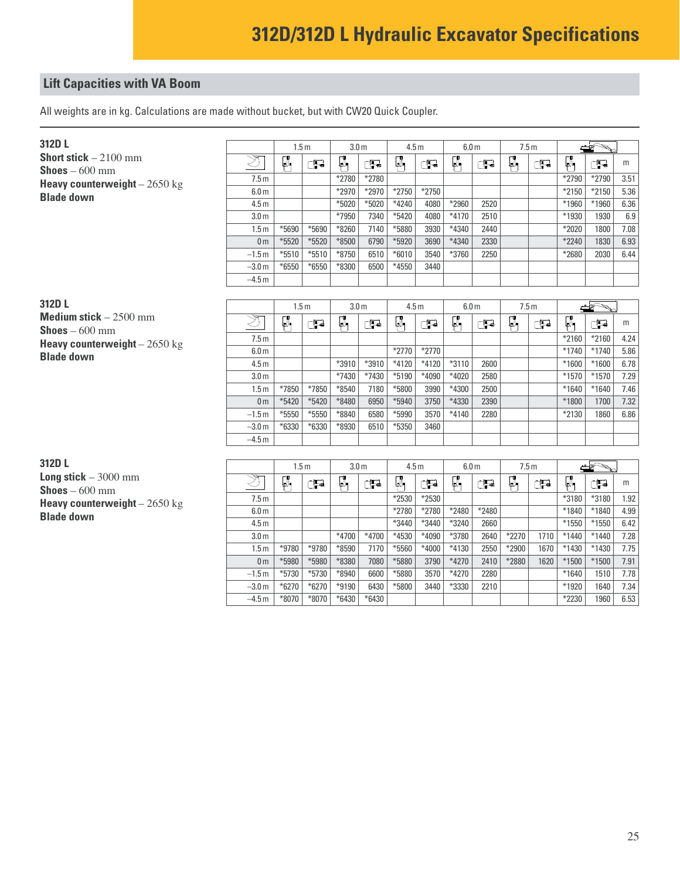All weights are in kg. Calculations are made without bucket, but with CW20 Quick Coupler.

| 312D L                                                  |                            | 1.5m    |         | 3.0 <sub>m</sub> |         | 4.5 <sub>m</sub> |         | 6.0 <sub>m</sub> |      | 7.5 <sub>m</sub> |   |         |         |      |
|---------------------------------------------------------|----------------------------|---------|---------|------------------|---------|------------------|---------|------------------|------|------------------|---|---------|---------|------|
| <b>Short stick</b> $-2100$ mm<br><b>Shoes</b> $-600$ mm | $\overline{\mathscr{F}}$ . | U.      | Œ.      | ψ                | 书       | μW               | t.      | Q.               | T    | υ,               | Œ | р.      | Œ       | m    |
| <b>Heavy counterweight</b> $- 2650$ kg                  | 7.5 <sub>m</sub>           |         |         | *2780            | *2780   |                  |         |                  |      |                  |   | $*2790$ | $*2790$ | 3.51 |
| <b>Blade down</b>                                       | 6.0 <sub>m</sub>           |         |         | $*2970$          | $*2970$ | $*2750$          | $*2750$ |                  |      |                  |   | $*2150$ | $*2150$ | 5.36 |
|                                                         | 4.5 <sub>m</sub>           |         |         | $*5020$          | $*5020$ | $*4240$          | 4080    | *2960            | 2520 |                  |   | *1960   | *1960   | 6.36 |
|                                                         | 3.0 <sub>m</sub>           |         |         | *7950            | 7340    | $*5420$          | 4080    | $*4170$          | 2510 |                  |   | *1930   | 1930    | 6.9  |
|                                                         | 1.5m                       | $*5690$ | *5690   | $*8260$          | 7140    | *5880            | 3930    | *4340            | 2440 |                  |   | $*2020$ | 1800    | 7.08 |
|                                                         | 0 <sub>m</sub>             | $*5520$ | $*5520$ | $*8500$          | 6790    | $*5920$          | 3690    | *4340            | 2330 |                  |   | $*2240$ | 1830    | 6.93 |
|                                                         | $-1.5 m$                   | $*5510$ | $*5510$ | $*8750$          | 6510    | $*6010$          | 3540    | $*3760$          | 2250 |                  |   | *2680   | 2030    | 6.44 |
|                                                         | $-3.0m$                    | $*6550$ | $*6550$ | $*8300$          | 6500    | *4550            | 3440    |                  |      |                  |   |         |         |      |
|                                                         | $-4.5 m$                   |         |         |                  |         |                  |         |                  |      |                  |   |         |         |      |
|                                                         |                            |         |         |                  |         |                  |         |                  |      |                  |   |         |         |      |

| 312D L                                                   |                  |         | 1.5m    |         | 3.0 <sub>m</sub> |         | 4.5 <sub>m</sub> |         | 6.0 <sub>m</sub> |     | 7.5m |         |         |      |
|----------------------------------------------------------|------------------|---------|---------|---------|------------------|---------|------------------|---------|------------------|-----|------|---------|---------|------|
| <b>Medium stick</b> $-2500$ mm<br><b>Shoes</b> $-600$ mm | $\rightarrow$    | Ψ       | Œ       | ۳       | Ţ                | Ø.      | Œ                | W.      | Œ                | ĻΛ, | Œ    | Ø,      | Œ       | m    |
| <b>Heavy counterweight</b> $-2650$ kg                    | 7.5m             |         |         |         |                  |         |                  |         |                  |     |      | $*2160$ | $*2160$ | 4.24 |
| <b>Blade down</b>                                        | 6.0 <sub>m</sub> |         |         |         |                  | $*2770$ | $*2770$          |         |                  |     |      | $*1740$ | $*1740$ | 5.86 |
|                                                          | 4.5 <sub>m</sub> |         |         | *3910   | *3910            | $*4120$ | $*4120$          | $*3110$ | 2600             |     |      | $*1600$ | $*1600$ | 6.78 |
|                                                          | 3.0 <sub>m</sub> |         |         | *7430   | $*7430$          | $*5190$ | *4090            | $*4020$ | 2580             |     |      | $*1570$ | $*1570$ | 7.29 |
|                                                          | 1.5m             | $*7850$ | *7850   | $*8540$ | 7180             | $*5800$ | 3990             | *4300   | 2500             |     |      | $*1640$ | $*1640$ | 7.46 |
|                                                          | 0 <sub>m</sub>   | $*5420$ | $*5420$ | $*8480$ | 6950             | $*5940$ | 3750             | *4330   | 2390             |     |      | *1800   | 1700    | 7.32 |
|                                                          | $-1.5 m$         | $*5550$ | $*5550$ | *8840   | 6580             | *5990   | 3570             | $*4140$ | 2280             |     |      | *2130   | 1860    | 6.86 |
|                                                          | $-3.0m$          | $*6330$ | $*6330$ | *8930   | 6510             | $*5350$ | 3460             |         |                  |     |      |         |         |      |
|                                                          | $-4.5 m$         |         |         |         |                  |         |                  |         |                  |     |      |         |         |      |

**312D L Long stick** – 3000 mm **Shoes** – 600 mm **Heavy counterweight** - 2650 kg **Blade down**

|                  |         | 1.5 <sub>m</sub> | 3.0 <sub>m</sub> |         | 4.5 <sub>m</sub> |         | 6.0 <sub>m</sub> |       | 7.5 <sub>m</sub> |      | ≧       |         |      |  |
|------------------|---------|------------------|------------------|---------|------------------|---------|------------------|-------|------------------|------|---------|---------|------|--|
| ক্ষ              | Q.      | F                | Q.               | Ţ       | Q.               | 是       | Ø,               | Ţ     | Q.               | æ    | μ,      | . Fe    | m    |  |
| 7.5 <sub>m</sub> |         |                  |                  |         | $*2530$          | *2530   |                  |       |                  |      | *3180   | *3180   | 1.92 |  |
| 6.0 <sub>m</sub> |         |                  |                  |         | *2780            | *2780   | *2480            | *2480 |                  |      | *1840   | *1840   | 4.99 |  |
| 4.5 <sub>m</sub> |         |                  |                  |         | *3440            | *3440   | *3240            | 2660  |                  |      | $*1550$ | $*1550$ | 6.42 |  |
| 3.0 <sub>m</sub> |         |                  | $*4700$          | $*4700$ | *4530            | *4090   | *3780            | 2640  | $*2270$          | 1710 | $*1440$ | $*1440$ | 7.28 |  |
| 1.5 <sub>m</sub> | *9780   | *9780            | $*8590$          | 7170    | $*5560$          | $*4000$ | $*4130$          | 2550  | $*2900$          | 1670 | *1430   | $*1430$ | 7.75 |  |
| 0 <sub>m</sub>   | *5980   | *5980            | $*8380$          | 7080    | *5880            | 3790    | $*4270$          | 2410  | *2880            | 1620 | $*1500$ | $*1500$ | 7.91 |  |
| $-1.5 m$         | $*5730$ | $*5730$          | $*8940$          | 6600    | *5880            | 3570    | $*4270$          | 2280  |                  |      | $*1640$ | 1510    | 7.78 |  |
| $-3.0 m$         | $*6270$ | $*6270$          | $*9190$          | 6430    | $*5800$          | 3440    | *3330            | 2210  |                  |      | *1920   | 1640    | 7.34 |  |
| $-4.5m$          | $*8070$ | $*8070$          | $*6430$          | $*6430$ |                  |         |                  |       |                  |      | *2230   | 1960    | 6.53 |  |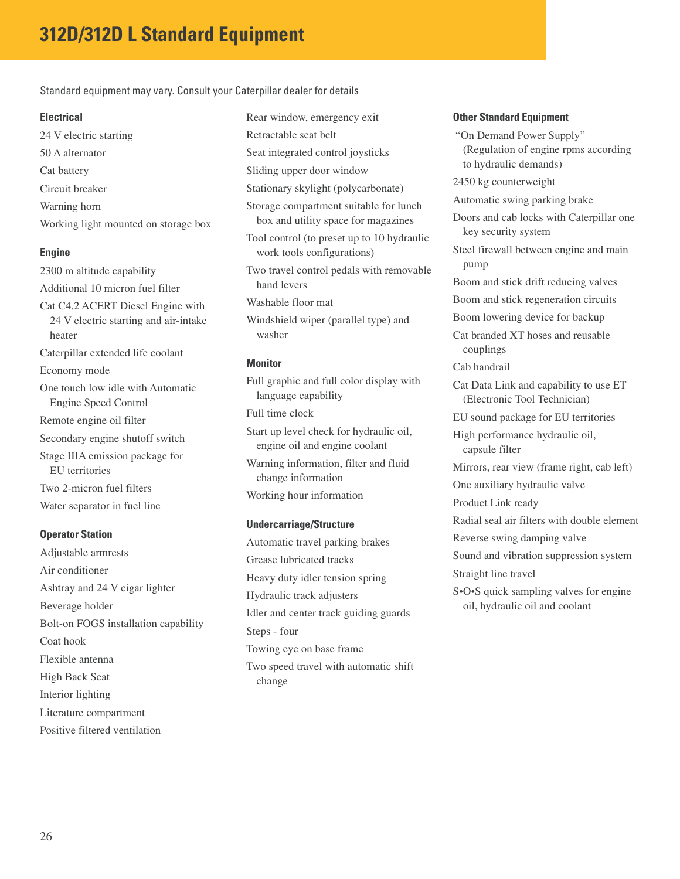Standard equipment may vary. Consult your Caterpillar dealer for details

#### **Electrical**

24 V electric starting 50 A alternator Cat battery Circuit breaker Warning horn Working light mounted on storage box

### **Engine**

2300 m altitude capability Additional 10 micron fuel filter Cat C4.2 ACERT Diesel Engine with 24 V electric starting and air-intake heater Caterpillar extended life coolant Economy mode One touch low idle with Automatic Engine Speed Control Remote engine oil filter Secondary engine shutoff switch Stage IIIA emission package for EU territories Two 2-micron fuel filters Water separator in fuel line

### **Operator Station**

Adjustable armrests Air conditioner Ashtray and 24 V cigar lighter Beverage holder Bolt-on FOGS installation capability Coat hook Flexible antenna High Back Seat Interior lighting Literature compartment Positive filtered ventilation

Rear window, emergency exit Retractable seat belt Seat integrated control joysticks Sliding upper door window Stationary skylight (polycarbonate) Storage compartment suitable for lunch box and utility space for magazines Tool control (to preset up to 10 hydraulic work tools configurations) Two travel control pedals with removable hand levers Washable floor mat Windshield wiper (parallel type) and washer

### **Monitor**

Full graphic and full color display with language capability Full time clock Start up level check for hydraulic oil,

engine oil and engine coolant Warning information, filter and fluid

change information

Working hour information

### **Undercarriage/Structure**

change

Automatic travel parking brakes Grease lubricated tracks Heavy duty idler tension spring Hydraulic track adjusters Idler and center track guiding guards Steps - four Towing eye on base frame Two speed travel with automatic shift

#### **Other Standard Equipment**

"On Demand Power Supply" (Regulation of engine rpms according to hydraulic demands) 2450 kg counterweight Automatic swing parking brake Doors and cab locks with Caterpillar one key security system Steel firewall between engine and main pump Boom and stick drift reducing valves Boom and stick regeneration circuits Boom lowering device for backup Cat branded XT hoses and reusable couplings Cab handrail Cat Data Link and capability to use ET (Electronic Tool Technician) EU sound package for EU territories High performance hydraulic oil, capsule filter Mirrors, rear view (frame right, cab left) One auxiliary hydraulic valve Product Link ready Radial seal air filters with double element Reverse swing damping valve Sound and vibration suppression system Straight line travel S•O•S quick sampling valves for engine oil, hydraulic oil and coolant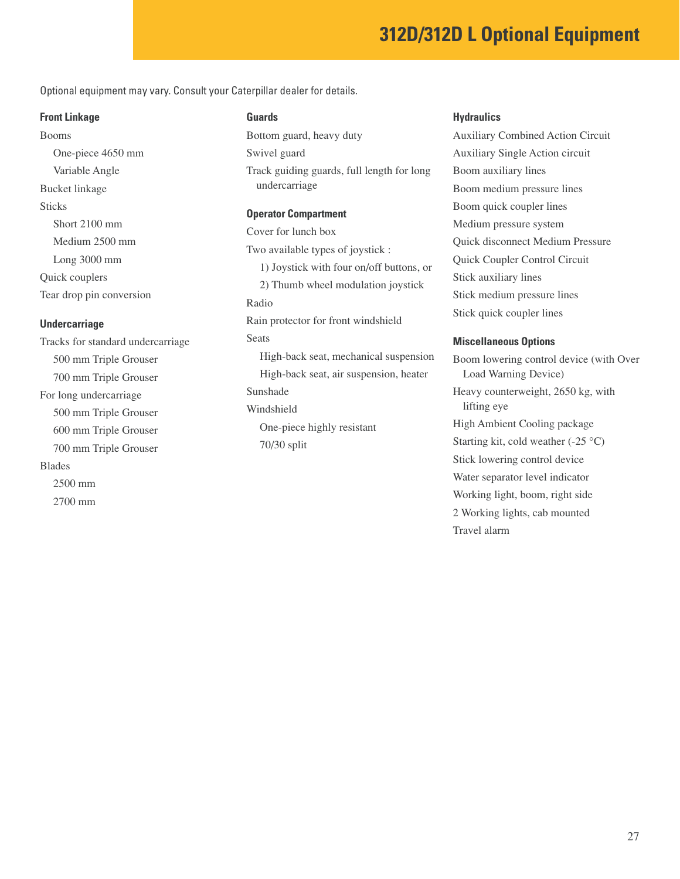## **312D/312D L Optional Equipment**

Optional equipment may vary. Consult your Caterpillar dealer for details.

#### **Front Linkage**

Booms One-piece 4650 mm Variable Angle Bucket linkage **Sticks** Short 2100 mm Medium 2500 mm Long 3000 mm Quick couplers Tear drop pin conversion

#### **Undercarriage**

Tracks for standard undercarriage 500 mm Triple Grouser 700 mm Triple Grouser For long undercarriage 500 mm Triple Grouser 600 mm Triple Grouser 700 mm Triple Grouser Blades 2500 mm 2700 mm

### **Guards**

Bottom guard, heavy duty Swivel guard Track guiding guards, full length for long undercarriage **Operator Compartment**

Cover for lunch box Two available types of joystick : 1) Joystick with four on/off buttons, or 2) Thumb wheel modulation joystick Radio Rain protector for front windshield **Seats** High-back seat, mechanical suspension High-back seat, air suspension, heater Sunshade Windshield One-piece highly resistant 70/30 split

#### **Hydraulics**

Auxiliary Combined Action Circuit Auxiliary Single Action circuit Boom auxiliary lines Boom medium pressure lines Boom quick coupler lines Medium pressure system Quick disconnect Medium Pressure Quick Coupler Control Circuit Stick auxiliary lines Stick medium pressure lines Stick quick coupler lines

#### **Miscellaneous Options**

Boom lowering control device (with Over Load Warning Device) Heavy counterweight, 2650 kg, with lifting eye High Ambient Cooling package Starting kit, cold weather  $(-25 \degree C)$ Stick lowering control device Water separator level indicator Working light, boom, right side 2 Working lights, cab mounted Travel alarm